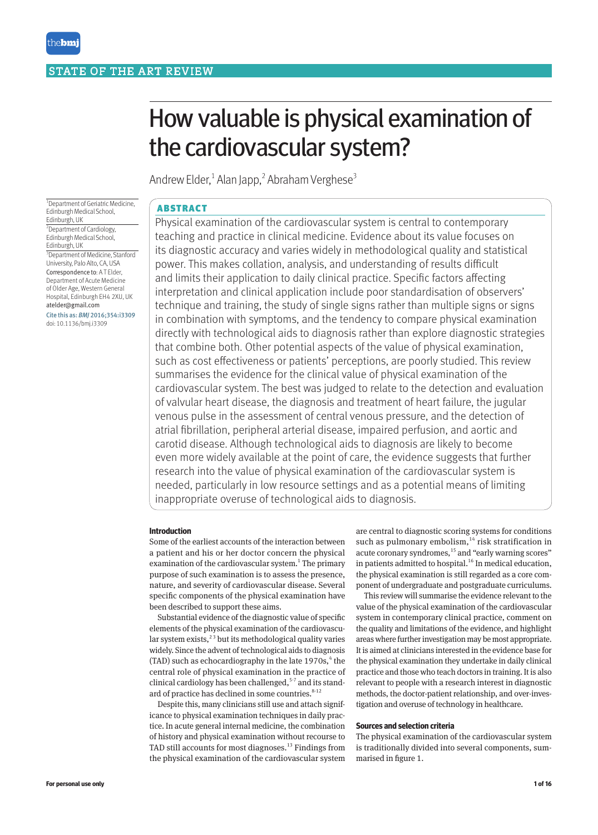# How valuable is physical examination of the cardiovascular system?

Andrew Elder, $^1$  Alan Japp, $^2$  Abraham Verghese $^3$ 

### 1 Department of Geriatric Medicine, Edinburgh Medical School, Edinburgh, UK 2 Department of Cardiology, Edinburgh Medical School, Edinburgh, UK 3 Department of Medicine, Stanford University, Palo Alto, CA, USA Correspondence to: A T Elder, Department of Acute Medicine of Older Age, Western General Hospital, Edinburgh EH4 2XU, UK atelder@gmail.com

Cite this as: *BMJ* 2016;354:i3309 doi: 10.1136/bmj.i3309

# ABSTRACT

Physical examination of the cardiovascular system is central to contemporary teaching and practice in clinical medicine. Evidence about its value focuses on its diagnostic accuracy and varies widely in methodological quality and statistical power. This makes collation, analysis, and understanding of results difficult and limits their application to daily clinical practice. Specific factors affecting interpretation and clinical application include poor standardisation of observers' technique and training, the study of single signs rather than multiple signs or signs in combination with symptoms, and the tendency to compare physical examination directly with technological aids to diagnosis rather than explore diagnostic strategies that combine both. Other potential aspects of the value of physical examination, such as cost effectiveness or patients' perceptions, are poorly studied. This review summarises the evidence for the clinical value of physical examination of the cardiovascular system. The best was judged to relate to the detection and evaluation of valvular heart disease, the diagnosis and treatment of heart failure, the jugular venous pulse in the assessment of central venous pressure, and the detection of atrial fibrillation, peripheral arterial disease, impaired perfusion, and aortic and carotid disease. Although technological aids to diagnosis are likely to become even more widely available at the point of care, the evidence suggests that further research into the value of physical examination of the cardiovascular system is needed, particularly in low resource settings and as a potential means of limiting inappropriate overuse of technological aids to diagnosis.

### **Introduction**

Some of the earliest accounts of the interaction between a patient and his or her doctor concern the physical examination of the cardiovascular system. $<sup>1</sup>$  The primary</sup> purpose of such examination is to assess the presence, nature, and severity of cardiovascular disease. Several specific components of the physical examination have been described to support these aims.

Substantial evidence of the diagnostic value of specific elements of the physical examination of the cardiovascular system exists, $^{23}$  but its methodological quality varies widely. Since the advent of technological aids to diagnosis (TAD) such as echocardiography in the late  $1970s$ ,  $4$  the central role of physical examination in the practice of clinical cardiology has been challenged,<sup>5-7</sup> and its standard of practice has declined in some countries. $8-12$ 

Despite this, many clinicians still use and attach significance to physical examination techniques in daily practice. In acute general internal medicine, the combination of history and physical examination without recourse to TAD still accounts for most diagnoses.<sup>13</sup> Findings from the physical examination of the cardiovascular system

are central to diagnostic scoring systems for conditions such as pulmonary embolism, $14$  risk stratification in acute coronary syndromes,<sup>15</sup> and "early warning scores" in patients admitted to hospital.<sup>16</sup> In medical education, the physical examination is still regarded as a core component of undergraduate and postgraduate curriculums.

This review will summarise the evidence relevant to the value of the physical examination of the cardiovascular system in contemporary clinical practice, comment on the quality and limitations of the evidence, and highlight areas where further investigation may be most appropriate. It is aimed at clinicians interested in the evidence base for the physical examination they undertake in daily clinical practice and those who teach doctors in training. It is also relevant to people with a research interest in diagnostic methods, the doctor-patient relationship, and over-investigation and overuse of technology in healthcare.

### **Sources and selection criteria**

The physical examination of the cardiovascular system is traditionally divided into several components, summarised in figure 1.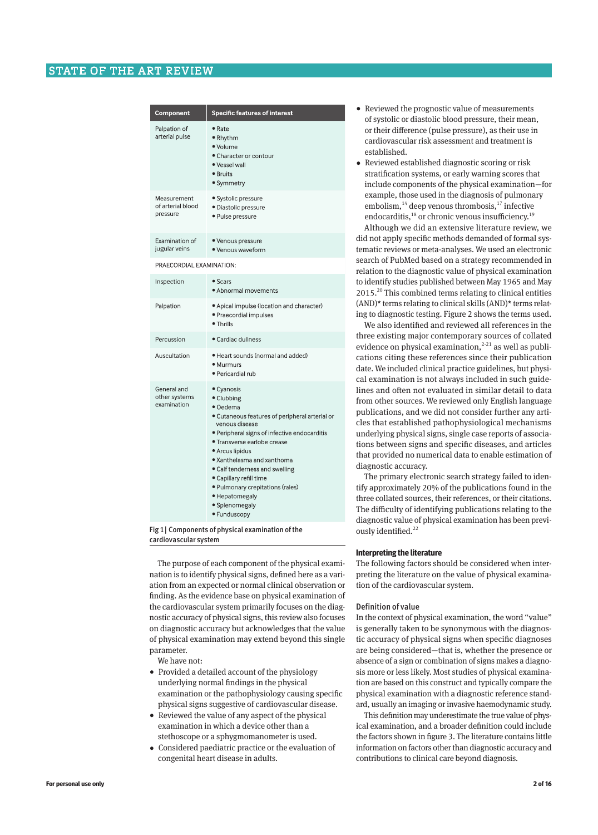| Component                                         | <b>Specific features of interest</b>                                                                                                                                                                                                                                                                                                                                                          |  |
|---------------------------------------------------|-----------------------------------------------------------------------------------------------------------------------------------------------------------------------------------------------------------------------------------------------------------------------------------------------------------------------------------------------------------------------------------------------|--|
| Palpation of<br>arterial pulse                    | $\bullet$ Rate<br>• Rhythm<br>• Volume<br>• Character or contour<br>· Vessel wall<br>• Bruits<br>• Symmetry                                                                                                                                                                                                                                                                                   |  |
| Measurement<br>of arterial blood<br>pressure      | • Systolic pressure<br>· Diastolic pressure<br>· Pulse pressure                                                                                                                                                                                                                                                                                                                               |  |
| Examination of<br>jugular veins                   | • Venous pressure<br>• Venous waveform                                                                                                                                                                                                                                                                                                                                                        |  |
| PRAECORDIAL EXAMINATION:                          |                                                                                                                                                                                                                                                                                                                                                                                               |  |
| Inspection                                        | $\bullet$ Scars<br>• Abnormal movements                                                                                                                                                                                                                                                                                                                                                       |  |
| Palpation                                         | • Apical impulse (location and character)<br>· Praecordial impulses<br>· Thrills                                                                                                                                                                                                                                                                                                              |  |
| Percussion                                        | • Cardiac dullness                                                                                                                                                                                                                                                                                                                                                                            |  |
| Auscultation                                      | • Heart sounds (normal and added)<br>· Murmurs<br>· Pericardial rub                                                                                                                                                                                                                                                                                                                           |  |
| General and<br>other systems<br>examination       | • Cyanosis<br>• Clubbing<br>• Oedema<br>• Cutaneous features of peripheral arterial or<br>venous disease<br>• Peripheral signs of infective endocarditis<br>• Transverse earlobe crease<br>· Arcus lipidus<br>• Xanthelasma and xanthoma<br>• Calf tenderness and swelling<br>• Capillary refill time<br>• Pulmonary crepitations (rales)<br>· Hepatomegaly<br>• Splenomegaly<br>· Funduscopy |  |
| Fig 1   Components of physical examination of the |                                                                                                                                                                                                                                                                                                                                                                                               |  |

cardiovascular system

The purpose of each component of the physical examination is to identify physical signs, defined here as a variation from an expected or normal clinical observation or finding. As the evidence base on physical examination of the cardiovascular system primarily focuses on the diagnostic accuracy of physical signs, this review also focuses on diagnostic accuracy but acknowledges that the value of physical examination may extend beyond this single parameter.

We have not:

- •  Provided a detailed account of the physiology underlying normal findings in the physical examination or the pathophysiology causing specific physical signs suggestive of cardiovascular disease.
- •  Reviewed the value of any aspect of the physical examination in which a device other than a stethoscope or a sphygmomanometer is used.
- •  Considered paediatric practice or the evaluation of congenital heart disease in adults.
- Reviewed the prognostic value of measurements of systolic or diastolic blood pressure, their mean, or their difference (pulse pressure), as their use in cardiovascular risk assessment and treatment is established.
- •  Reviewed established diagnostic scoring or risk stratification systems, or early warning scores that include components of the physical examination—for example, those used in the diagnosis of pulmonary embolism, $14$  deep venous thrombosis, $17$  infective endocarditis, $18$  or chronic venous insufficiency.<sup>1</sup>

Although we did an extensive literature review, we did not apply specific methods demanded of formal systematic reviews or meta-analyses. We used an electronic search of PubMed based on a strategy recommended in relation to the diagnostic value of physical examination to identify studies published between May 1965 and May 2015.<sup>20</sup> This combined terms relating to clinical entities  $(AND)*$  terms relating to clinical skills  $(AND)*$  terms relating to diagnostic testing. Figure 2 shows the terms used.

We also identified and reviewed all references in the three existing major contemporary sources of collated evidence on physical examination,<sup>2-21</sup> as well as publications citing these references since their publication date. We included clinical practice guidelines, but physical examination is not always included in such guidelines and often not evaluated in similar detail to data from other sources. We reviewed only English language publications, and we did not consider further any articles that established pathophysiological mechanisms underlying physical signs, single case reports of associations between signs and specific diseases, and articles that provided no numerical data to enable estimation of diagnostic accuracy.

The primary electronic search strategy failed to identify approximately 20% of the publications found in the three collated sources, their references, or their citations. The difficulty of identifying publications relating to the diagnostic value of physical examination has been previously identified.<sup>22</sup>

### **Interpreting the literature**

The following factors should be considered when interpreting the literature on the value of physical examination of the cardiovascular system.

### Definition of value

In the context of physical examination, the word "value" is generally taken to be synonymous with the diagnostic accuracy of physical signs when specific diagnoses are being considered—that is, whether the presence or absence of a sign or combination of signs makes a diagnosis more or less likely. Most studies of physical examination are based on this construct and typically compare the physical examination with a diagnostic reference standard, usually an imaging or invasive haemodynamic study.

This definition may underestimate the true value of physical examination, and a broader definition could include the factors shown in figure 3. The literature contains little information on factors other than diagnostic accuracy and contributions to clinical care beyond diagnosis.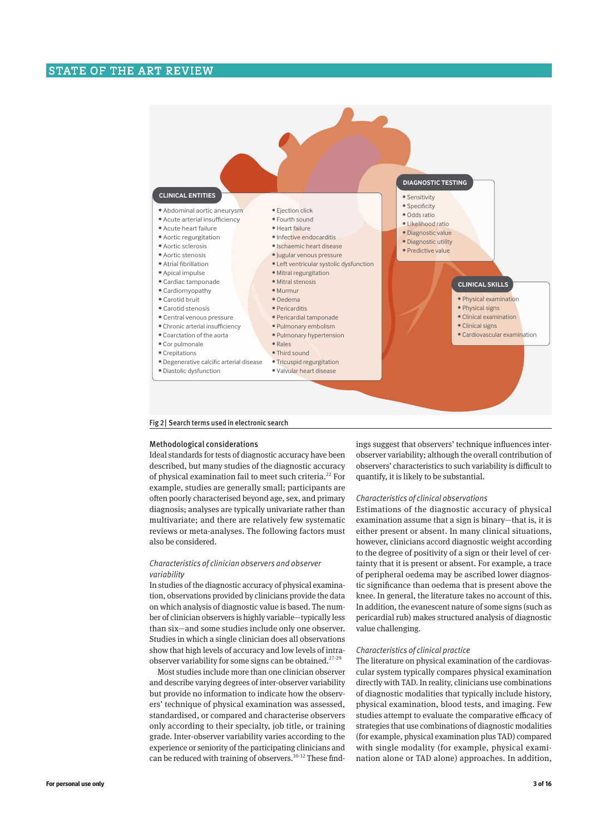

### Fig 2 | Search terms used in electronic search

### Methodological considerations

 Ideal standards for tests of diagnostic accuracy have been described, but many studies of the diagnostic accuracy of physical examination fail to meet such criteria.<sup>22</sup> For example, studies are generally small; participants are often poorly characterised beyond age, sex, and primary diagnosis; analyses are typically univariate rather than multivariate; and there are relatively few systematic reviews or meta‑analyses. The following factors must also be considered.

### *Characteristics of clinician observers and observer variability*

In studies of the diagnostic accuracy of physical examination, observations provided by clinicians provide the data on which analysis of diagnostic value is based. The number of clinician observers is highly variable—typically less than six—and some studies include only one observer. Studies in which a single clinician does all observations show that high levels of accuracy and low levels of intraobserver variability for some signs can be obtained.<sup>27-29</sup>

 Most studies include more than one clinician observer and describe varying degrees of inter‑observer variability but provide no information to indicate how the observers' technique of physical examination was assessed, standardised, or compared and characterise observers only according to their specialty, job title, or training grade. Inter‑observer variability varies according to the experience or seniority of the participating clinicians and can be reduced with training of observers.<sup>30-32</sup> These find-

ings suggest that observers' technique influences interobserver variability; although the overall contribution of observers' characteristics to such variability is difficult to quantify, it is likely to be substantial.

### *Characteristics of clinical observations*

 Estimations of the diagnostic accuracy of physical examination assume that a sign is binary—that is, it is either present or absent. In many clinical situations, however, clinicians accord diagnostic weight according to the degree of positivity of a sign or their level of certainty that it is present or absent. For example, a trace of peripheral oedema may be ascribed lower diagnostic significance than oedema that is present above the knee. In general, the literature takes no account of this. In addition, the evanescent nature of some signs (such as pericardial rub) makes structured analysis of diagnostic value challenging.

### *Characteristics of clinical practice*

The literature on physical examination of the cardiovascular system typically compares physical examination directly with TAD. In reality, clinicians use combinations of diagnostic modalities that typically include history, physical examination, blood tests, and imaging. Few studies attempt to evaluate the comparative efficacy of strategies that use combinations of diagnostic modalities (for example, physical examination plus TAD) compared with single modality (for example, physical examination alone or TAD alone) approaches. In addition,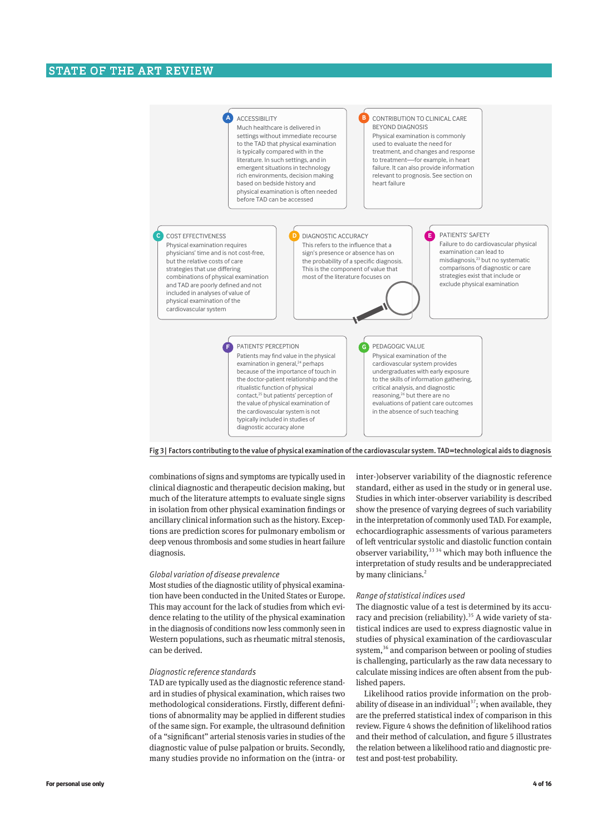

Fig 3 | Factors contributing to the value of physical examination of the cardiovascular system. TAD=technological aids to diagnosis

combinations of signs and symptoms are typically used in clinical diagnostic and therapeutic decision making, but much of the literature attempts to evaluate single signs in isolation from other physical examination findings or ancillary clinical information such as the history. Exceptions are prediction scores for pulmonary embolism or deep venous thrombosis and some studies in heart failure diagnosis.

### *Global variation of disease prevalence*

Most studies of the diagnostic utility of physical examination have been conducted in the United States or Europe. This may account for the lack of studies from which evidence relating to the utility of the physical examination in the diagnosis of conditions now less commonly seen in Western populations, such as rheumatic mitral stenosis, can be derived.

### *Diagnostic reference standards*

TAD are typically used as the diagnostic reference standard in studies of physical examination, which raises two methodological considerations. Firstly, different definitions of abnormality may be applied in different studies of the same sign. For example, the ultrasound definition of a "significant" arterial stenosis varies in studies of the diagnostic value of pulse palpation or bruits. Secondly, many studies provide no information on the (intra‑ or

inter‑)observer variability of the diagnostic reference standard, either as used in the study or in general use. Studies in which inter‑observer variability is described show the presence of varying degrees of such variability in the interpretation of commonly used TAD. For example, echocardiographic assessments of various parameters of left ventricular systolic and diastolic function contain observer variability,  $3334$  which may both influence the interpretation of study results and be underappreciated by many clinicians.<sup>2</sup>

### *Range of statistical indices used*

The diagnostic value of a test is determined by its accuracy and precision (reliability).<sup>35</sup> A wide variety of statistical indices are used to express diagnostic value in studies of physical examination of the cardiovascular system,<sup>36</sup> and comparison between or pooling of studies is challenging, particularly as the raw data necessary to calculate missing indices are often absent from the published papers.

Likelihood ratios provide information on the probability of disease in an individual<sup>37</sup>; when available, they are the preferred statistical index of comparison in this review. Figure 4 shows the definition of likelihood ratios and their method of calculation, and figure 5 illustrates the relation between a likelihood ratio and diagnostic pre‑ test and post-test probability.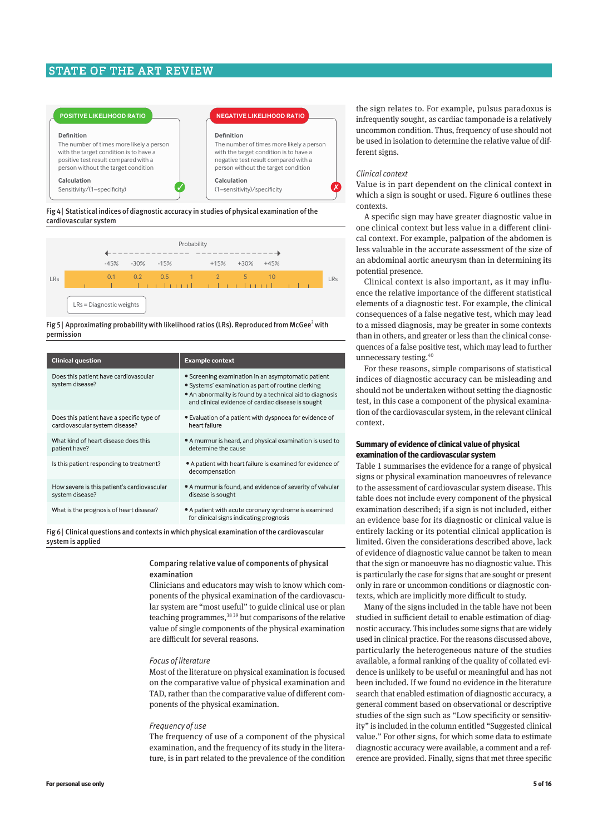

Fig 4 | Statistical indices of diagnostic accuracy in studies of physical examination of the cardiovascular system



Fig 5 | Approximating probability with likelihood ratios (LRs). Reproduced from McGee $^2$  with permission

| <b>Clinical question</b>                                                    | <b>Example context</b>                                                                                                                                                                                                      |
|-----------------------------------------------------------------------------|-----------------------------------------------------------------------------------------------------------------------------------------------------------------------------------------------------------------------------|
| Does this patient have cardiovascular<br>system disease?                    | • Screening examination in an asymptomatic patient<br>• Systems' examination as part of routine clerking<br>• An abnormality is found by a technical aid to diagnosis<br>and clinical evidence of cardiac disease is sought |
| Does this patient have a specific type of<br>cardiovascular system disease? | • Evaluation of a patient with dyspnoea for evidence of<br>heart failure                                                                                                                                                    |
| What kind of heart disease does this<br>patient have?                       | • A murmur is heard, and physical examination is used to<br>determine the cause                                                                                                                                             |
| Is this patient responding to treatment?                                    | • A patient with heart failure is examined for evidence of<br>decompensation                                                                                                                                                |
| How severe is this patient's cardiovascular<br>system disease?              | • A murmur is found, and evidence of severity of valvular<br>disease is sought                                                                                                                                              |
| What is the prognosis of heart disease?                                     | • A patient with acute coronary syndrome is examined<br>for clinical signs indicating prognosis                                                                                                                             |

Fig 6 | Clinical questions and contexts in which physical examination of the cardiovascular system is applied

> Comparing relative value of components of physical examination

Clinicians and educators may wish to know which components of the physical examination of the cardiovascular system are "most useful" to guide clinical use or plan teaching programmes, 38 39 but comparisons of the relative value of single components of the physical examination are difficult for several reasons.

### *Focus of literature*

 Most of the literature on physical examination is focused on the comparative value of physical examination and TAD, rather than the comparative value of different components of the physical examination.

### *Frequency of use*

 The frequency of use of a component of the physical examination, and the frequency of its study in the literature, is in part related to the prevalence of the condition

the sign relates to. For example, pulsus paradoxus is infrequently sought, as cardiac tamponade is a relatively uncommon condition. Thus, frequency of use should not be used in isolation to determine the relative value of different signs.

### *Clinical context*

 Value is in part dependent on the clinical context in which a sign is sought or used. Figure 6 outlines these contexts.

A specific sign may have greater diagnostic value in one clinical context but less value in a different clinical context. For example, palpation of the abdomen is less valuable in the accurate assessment of the size of an abdominal aortic aneurysm than in determining its potential presence.

Clinical context is also important, as it may influence the relative importance of the different statistical elements of a diagnostic test. For example, the clinical consequences of a false negative test, which may lead to a missed diagnosis, may be greater in some contexts than in others, and greater or less than the clinical consequences of a false positive test, which may lead to further unnecessary testing.<sup>40</sup>

 For these reasons, simple comparisons of statistical indices of diagnostic accuracy can be misleading and should not be undertaken without setting the diagnostic test, in this case a component of the physical examination of the cardiovascular system, in the relevant clinical context.

### **Summary of evidence of clinical value of physical examination of the cardiovascular system**

 Table 1 summarises the evidence for a range of physical signs or physical examination manoeuvres of relevance to the assessment of cardiovascular system disease. This table does not include every component of the physical examination described; if a sign is not included, either an evidence base for its diagnostic or clinical value is entirely lacking or its potential clinical application is limited. Given the considerations described above, lack of evidence of diagnostic value cannot be taken to mean that the sign or manoeuvre has no diagnostic value. This is particularly the case for signs that are sought or present only in rare or uncommon conditions or diagnostic contexts, which are implicitly more difficult to study.

 Many of the signs included in the table have not been studied in sufficient detail to enable estimation of diagnostic accuracy. This includes some signs that are widely used in clinical practice. For the reasons discussed above, particularly the heterogeneous nature of the studies available, a formal ranking of the quality of collated evidence is unlikely to be useful or meaningful and has not been included. If we found no evidence in the literature search that enabled estimation of diagnostic accuracy, a general comment based on observational or descriptive studies of the sign such as "Low specificity or sensitivity" is included in the column entitled "Suggested clinical value." For other signs, for which some data to estimate diagnostic accuracy were available, a comment and a reference are provided. Finally, signs that met three specific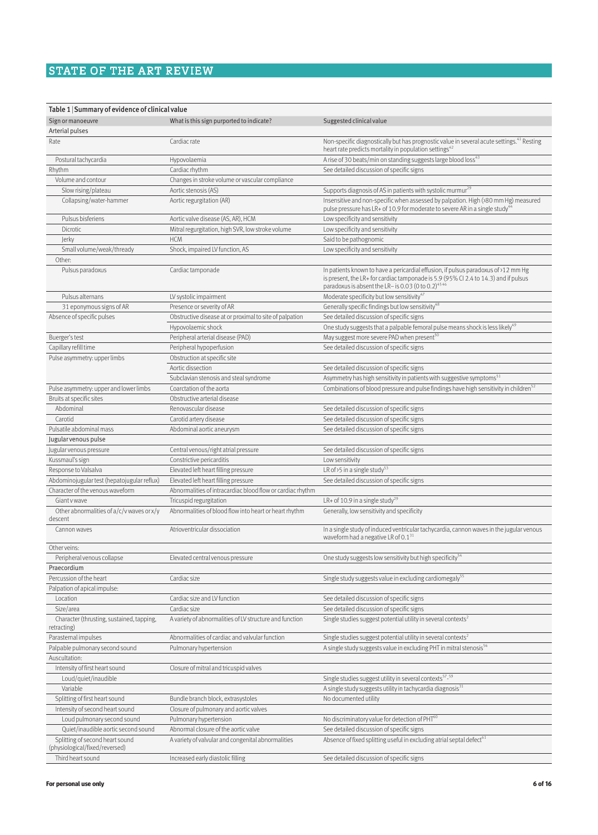| Table 1   Summary of evidence of clinical value                   |                                                            |                                                                                                                                                                                                                                             |
|-------------------------------------------------------------------|------------------------------------------------------------|---------------------------------------------------------------------------------------------------------------------------------------------------------------------------------------------------------------------------------------------|
| Sign or manoeuvre                                                 | What is this sign purported to indicate?                   | Suggested clinical value                                                                                                                                                                                                                    |
| Arterial pulses                                                   |                                                            |                                                                                                                                                                                                                                             |
| Rate                                                              | Cardiac rate                                               | Non-specific diagnostically but has prognostic value in several acute settings. <sup>41</sup> Resting<br>heart rate predicts mortality in population settings <sup>42</sup>                                                                 |
| Postural tachycardia                                              | Hypovolaemia                                               | A rise of 30 beats/min on standing suggests large blood loss <sup>43</sup>                                                                                                                                                                  |
| Rhythm                                                            | Cardiac rhythm                                             | See detailed discussion of specific signs                                                                                                                                                                                                   |
| Volume and contour                                                | Changes in stroke volume or vascular compliance            |                                                                                                                                                                                                                                             |
| Slow rising/plateau                                               | Aortic stenosis (AS)                                       | Supports diagnosis of AS in patients with systolic murmur <sup>29</sup>                                                                                                                                                                     |
| Collapsing/water-hammer                                           | Aortic regurgitation (AR)                                  | Insensitive and non-specific when assessed by palpation. High (>80 mm Hg) measured<br>pulse pressure has LR+ of 10.9 for moderate to severe AR in a single study <sup>44</sup>                                                              |
| Pulsus bisferiens                                                 | Aortic valve disease (AS, AR), HCM                         | Low specificity and sensitivity                                                                                                                                                                                                             |
| <b>Dicrotic</b>                                                   | Mitral regurgitation, high SVR, low stroke volume          | Low specificity and sensitivity                                                                                                                                                                                                             |
| Jerky                                                             | <b>HCM</b>                                                 | Said to be pathognomic                                                                                                                                                                                                                      |
| Small volume/weak/thready                                         | Shock, impaired LV function, AS                            | Low specificity and sensitivity                                                                                                                                                                                                             |
| Other:                                                            |                                                            |                                                                                                                                                                                                                                             |
| Pulsus paradoxus                                                  | Cardiac tamponade                                          | In patients known to have a pericardial effusion, if pulsus paradoxus of >12 mm Hg<br>is present, the LR+ for cardiac tamponade is 5.9 (95% Cl 2.4 to 14.3) and if pulsus<br>paradoxus is absent the LR- is 0.03 (0 to 0.2) <sup>4546</sup> |
| Pulsus alternans                                                  | LV systolic impairment                                     | Moderate specificity but low sensitivity <sup>47</sup>                                                                                                                                                                                      |
| 31 eponymous signs of AR                                          | Presence or severity of AR                                 | Generally specific findings but low sensitivity <sup>48</sup>                                                                                                                                                                               |
| Absence of specific pulses                                        | Obstructive disease at or proximal to site of palpation    | See detailed discussion of specific signs                                                                                                                                                                                                   |
|                                                                   | Hypovolaemic shock                                         | One study suggests that a palpable femoral pulse means shock is less likely <sup>49</sup>                                                                                                                                                   |
| Buerger's test                                                    | Peripheral arterial disease (PAD)                          | May suggest more severe PAD when present <sup>50</sup>                                                                                                                                                                                      |
| Capillary refill time                                             | Peripheral hypoperfusion                                   | See detailed discussion of specific signs                                                                                                                                                                                                   |
| Pulse asymmetry: upper limbs                                      | Obstruction at specific site                               |                                                                                                                                                                                                                                             |
|                                                                   | Aortic dissection                                          | See detailed discussion of specific signs                                                                                                                                                                                                   |
|                                                                   | Subclavian stenosis and steal syndrome                     | Asymmetry has high sensitivity in patients with suggestive symptoms <sup>51</sup>                                                                                                                                                           |
| Pulse asymmetry: upper and lower limbs                            | Coarctation of the aorta                                   | Combinations of blood pressure and pulse findings have high sensitivity in children <sup>52</sup>                                                                                                                                           |
|                                                                   | Obstructive arterial disease                               |                                                                                                                                                                                                                                             |
| Bruits at specific sites                                          |                                                            |                                                                                                                                                                                                                                             |
| Abdominal                                                         | Renovascular disease                                       | See detailed discussion of specific signs                                                                                                                                                                                                   |
| Carotid                                                           | Carotid artery disease                                     | See detailed discussion of specific signs                                                                                                                                                                                                   |
| Pulsatile abdominal mass                                          | Abdominal aortic aneurysm                                  | See detailed discussion of specific signs                                                                                                                                                                                                   |
| Jugular venous pulse                                              |                                                            |                                                                                                                                                                                                                                             |
| Jugular venous pressure                                           | Central venous/right atrial pressure                       | See detailed discussion of specific signs                                                                                                                                                                                                   |
| Kussmaul's sign                                                   | Constrictive pericarditis                                  | Low sensitivity                                                                                                                                                                                                                             |
| Response to Valsalva                                              | Elevated left heart filling pressure                       | LR of >5 in a single study <sup>53</sup>                                                                                                                                                                                                    |
| Abdominojugular test (hepatojugular reflux)                       | Elevated left heart filling pressure                       | See detailed discussion of specific signs                                                                                                                                                                                                   |
| Character of the venous waveform                                  | Abnormalities of intracardiac blood flow or cardiac rhythm |                                                                                                                                                                                                                                             |
| Giant v wave                                                      | Tricuspid regurgitation                                    | LR+ of 10.9 in a single study <sup>29</sup>                                                                                                                                                                                                 |
| Other abnormalities of a/c/v waves or x/y<br>descent              | Abnormalities of blood flow into heart or heart rhythm     | Generally, low sensitivity and specificity                                                                                                                                                                                                  |
| Cannon waves                                                      | Atrioventricular dissociation                              | In a single study of induced ventricular tachycardia, cannon waves in the jugular venous<br>waveform had a negative LR of $0.1^{31}$                                                                                                        |
| Other veins:                                                      |                                                            |                                                                                                                                                                                                                                             |
| Peripheral venous collapse                                        | Elevated central venous pressure                           | One study suggests low sensitivity but high specificity <sup>54</sup>                                                                                                                                                                       |
| Praecordium                                                       |                                                            |                                                                                                                                                                                                                                             |
| Percussion of the heart                                           | Cardiac size                                               | Single study suggests value in excluding cardiomegaly <sup>55</sup>                                                                                                                                                                         |
| Palpation of apical impulse:                                      |                                                            |                                                                                                                                                                                                                                             |
| Location                                                          | Cardiac size and LV function                               | See detailed discussion of specific signs                                                                                                                                                                                                   |
| Size/area                                                         | Cardiac size                                               | See detailed discussion of specific signs                                                                                                                                                                                                   |
| Character (thrusting, sustained, tapping,<br>retracting)          | A variety of abnormalities of LV structure and function    | Single studies suggest potential utility in several contexts <sup>2</sup>                                                                                                                                                                   |
| Parasternal impulses                                              | Abnormalities of cardiac and valvular function             | Single studies suggest potential utility in several contexts <sup>2</sup>                                                                                                                                                                   |
| Palpable pulmonary second sound                                   | Pulmonary hypertension                                     | A single study suggests value in excluding PHT in mitral stenosis <sup>56</sup>                                                                                                                                                             |
| Auscultation:                                                     |                                                            |                                                                                                                                                                                                                                             |
| Intensity of first heart sound                                    | Closure of mitral and tricuspid valves                     |                                                                                                                                                                                                                                             |
| Loud/quiet/inaudible                                              |                                                            | Single studies suggest utility in several contexts <sup>57</sup> -59                                                                                                                                                                        |
| Variable                                                          |                                                            | A single study suggests utility in tachycardia diagnosis <sup>31</sup>                                                                                                                                                                      |
|                                                                   |                                                            |                                                                                                                                                                                                                                             |
| Splitting of first heart sound                                    | Bundle branch block, extrasystoles                         | No documented utility                                                                                                                                                                                                                       |
| Intensity of second heart sound                                   | Closure of pulmonary and aortic valves                     |                                                                                                                                                                                                                                             |
| Loud pulmonary second sound                                       | Pulmonary hypertension                                     | No discriminatory value for detection of PHT <sup>60</sup>                                                                                                                                                                                  |
| Quiet/inaudible aortic second sound                               | Abnormal closure of the aortic valve                       | See detailed discussion of specific signs                                                                                                                                                                                                   |
| Splitting of second heart sound<br>(physiological/fixed/reversed) | A variety of valvular and congenital abnormalities         | Absence of fixed splitting useful in excluding atrial septal defect <sup>61</sup>                                                                                                                                                           |
| Third heart sound                                                 | Increased early diastolic filling                          | See detailed discussion of specific signs                                                                                                                                                                                                   |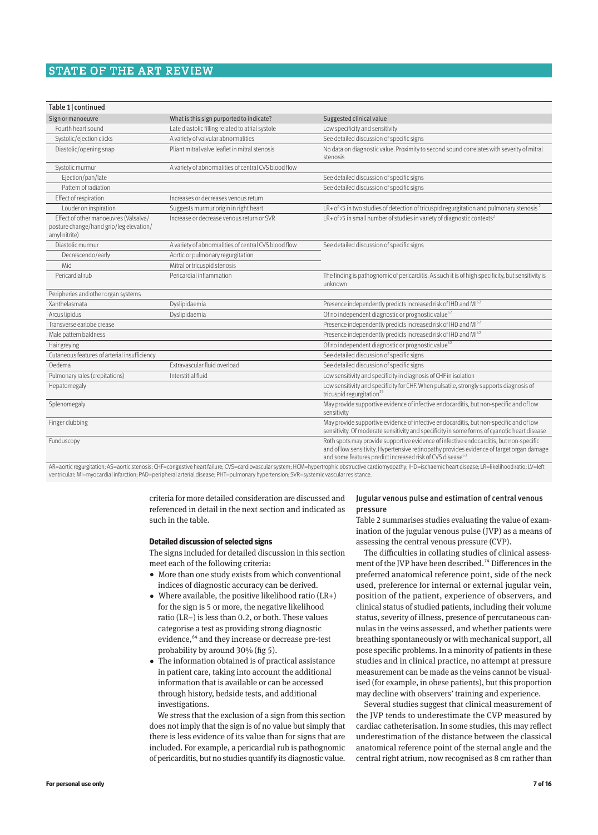| Table 1   continued                                                                               |                                                      |                                                                                                                                                                                                                                                              |
|---------------------------------------------------------------------------------------------------|------------------------------------------------------|--------------------------------------------------------------------------------------------------------------------------------------------------------------------------------------------------------------------------------------------------------------|
| Sign or manoeuvre                                                                                 | What is this sign purported to indicate?             | Suggested clinical value                                                                                                                                                                                                                                     |
| Fourth heart sound                                                                                | Late diastolic filling related to atrial systole     | Low specificity and sensitivity                                                                                                                                                                                                                              |
| Systolic/ejection clicks                                                                          | A variety of valvular abnormalities                  | See detailed discussion of specific signs                                                                                                                                                                                                                    |
| Diastolic/opening snap                                                                            | Pliant mitral valve leaflet in mitral stenosis       | No data on diagnostic value. Proximity to second sound correlates with severity of mitral<br>stenosis                                                                                                                                                        |
| Systolic murmur                                                                                   | A variety of abnormalities of central CVS blood flow |                                                                                                                                                                                                                                                              |
| Ejection/pan/late                                                                                 |                                                      | See detailed discussion of specific signs                                                                                                                                                                                                                    |
| Pattern of radiation                                                                              |                                                      | See detailed discussion of specific signs                                                                                                                                                                                                                    |
| Effect of respiration                                                                             | Increases or decreases venous return                 |                                                                                                                                                                                                                                                              |
| Louder on inspiration                                                                             | Suggests murmur origin in right heart                | LR+ of $\cdot$ 5 in two studies of detection of tricuspid regurgitation and pulmonary stenosis $^2$                                                                                                                                                          |
| Effect of other manoeuvres (Valsalva/<br>posture change/hand grip/leg elevation/<br>amyl nitrite) | Increase or decrease venous return or SVR            | LR+ of >5 in small number of studies in variety of diagnostic contexts <sup>2</sup>                                                                                                                                                                          |
| Diastolic murmur                                                                                  | A variety of abnormalities of central CVS blood flow | See detailed discussion of specific signs                                                                                                                                                                                                                    |
| Decrescendo/early                                                                                 | Aortic or pulmonary regurgitation                    |                                                                                                                                                                                                                                                              |
| Mid                                                                                               | Mitral or tricuspid stenosis                         |                                                                                                                                                                                                                                                              |
| Pericardial rub                                                                                   | Pericardial inflammation                             | The finding is pathognomic of pericarditis. As such it is of high specificity, but sensitivity is<br>unknown                                                                                                                                                 |
| Peripheries and other organ systems                                                               |                                                      |                                                                                                                                                                                                                                                              |
| Xanthelasmata                                                                                     | Dyslipidaemia                                        | Presence independently predicts increased risk of IHD and MI <sup>62</sup>                                                                                                                                                                                   |
| Arcus lipidus                                                                                     | Dyslipidaemia                                        | Of no independent diagnostic or prognostic value <sup>62</sup>                                                                                                                                                                                               |
| Transverse earlobe crease                                                                         |                                                      | Presence independently predicts increased risk of IHD and MI <sup>62</sup>                                                                                                                                                                                   |
| Male pattern baldness                                                                             |                                                      | Presence independently predicts increased risk of IHD and MI <sup>62</sup>                                                                                                                                                                                   |
| Hair greying                                                                                      |                                                      | Of no independent diagnostic or prognostic value <sup>62</sup>                                                                                                                                                                                               |
| Cutaneous features of arterial insufficiency                                                      |                                                      | See detailed discussion of specific signs                                                                                                                                                                                                                    |
| Oedema                                                                                            | Extravascular fluid overload                         | See detailed discussion of specific signs                                                                                                                                                                                                                    |
| Pulmonary rales (crepitations)                                                                    | Interstitial fluid                                   | Low sensitivity and specificity in diagnosis of CHF in isolation                                                                                                                                                                                             |
| Hepatomegaly                                                                                      |                                                      | Low sensitivity and specificity for CHF. When pulsatile, strongly supports diagnosis of<br>tricuspid regurgitation <sup>29</sup>                                                                                                                             |
| Splenomegaly                                                                                      |                                                      | May provide supportive evidence of infective endocarditis, but non-specific and of low<br>sensitivity                                                                                                                                                        |
| Finger clubbing                                                                                   |                                                      | May provide supportive evidence of infective endocarditis, but non-specific and of low<br>sensitivity. Of moderate sensitivity and specificity in some forms of cyanotic heart disease                                                                       |
| Funduscopy                                                                                        |                                                      | Roth spots may provide supportive evidence of infective endocarditis, but non-specific<br>and of low sensitivity. Hypertensive retinopathy provides evidence of target organ damage<br>and some features predict increased risk of CVS disease <sup>63</sup> |

AR=aortic regurgitation; AS=aortic stenosis; CHF=congestive heart failure; CVS=cardiovascular system; HCM=hypertrophic obstructive cardiomyopathy; IHD=ischaemic heart disease; LR=likelihood ratio; LV=left ventricular; MI=myocardial infarction; PAD=peripheral arterial disease; PHT=pulmonary hypertension; SVR=systemic vascular resistance.

> criteria for more detailed consideration are discussed and referenced in detail in the next section and indicated as such in the table.

### **Detailed discussion of selected signs**

The signs included for detailed discussion in this section meet each of the following criteria:

- More than one study exists from which conventional indices of diagnostic accuracy can be derived.
- Where available, the positive likelihood ratio (LR+) for the sign is 5 or more, the negative likelihood ratio (LR−) is less than 0.2, or both. These values categorise a test as providing strong diagnostic evidence,<sup>64</sup> and they increase or decrease pre-test probability by around 30% (fig 5).
- The information obtained is of practical assistance in patient care, taking into account the additional information that is available or can be accessed through history, bedside tests, and additional investigations.

We stress that the exclusion of a sign from this section does not imply that the sign is of no value but simply that there is less evidence of its value than for signs that are included. For example, a pericardial rub is pathognomic of pericarditis, but no studies quantify its diagnostic value.

### Jugular venous pulse and estimation of central venous pressure

Table 2 summarises studies evaluating the value of examination of the jugular venous pulse (JVP) as a means of assessing the central venous pressure (CVP).

The difficulties in collating studies of clinical assessment of the JVP have been described.<sup>74</sup> Differences in the preferred anatomical reference point, side of the neck used, preference for internal or external jugular vein, position of the patient, experience of observers, and clinical status of studied patients, including their volume status, severity of illness, presence of percutaneous cannulas in the veins assessed, and whether patients were breathing spontaneously or with mechanical support, all pose specific problems. In a minority of patients in these studies and in clinical practice, no attempt at pressure measurement can be made as the veins cannot be visualised (for example, in obese patients), but this proportion may decline with observers' training and experience.

Several studies suggest that clinical measurement of the JVP tends to underestimate the CVP measured by cardiac catheterisation. In some studies, this may reflect underestimation of the distance between the classical anatomical reference point of the sternal angle and the central right atrium, now recognised as 8 cm rather than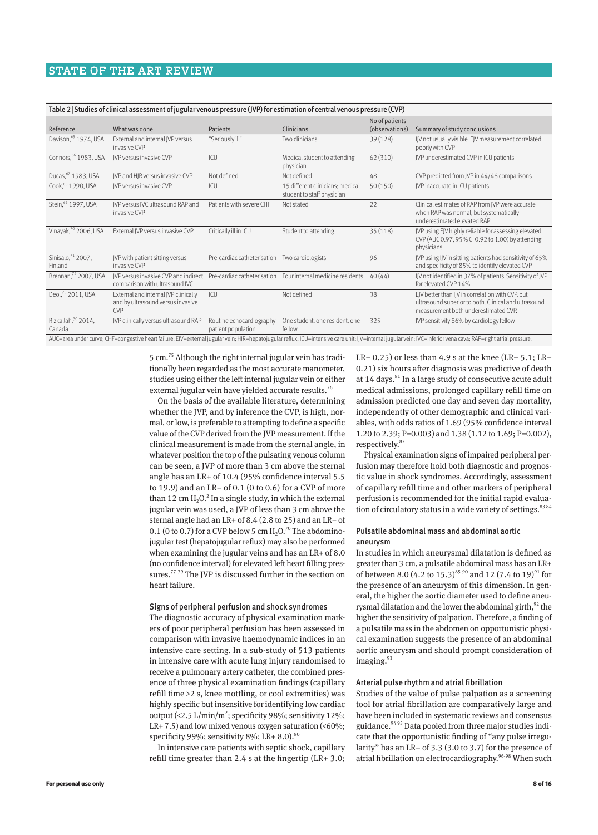| Table 2   Studies of clinical assessment of jugular venous pressure (JVP) for estimation of central venous pressure (CVP) |                                                                                         |                                                |                                                                |                                  |                                                                                                                                                  |
|---------------------------------------------------------------------------------------------------------------------------|-----------------------------------------------------------------------------------------|------------------------------------------------|----------------------------------------------------------------|----------------------------------|--------------------------------------------------------------------------------------------------------------------------------------------------|
| Reference                                                                                                                 | What was done                                                                           | <b>Patients</b>                                | Clinicians                                                     | No of patients<br>(observations) | Summary of study conclusions                                                                                                                     |
| Davison, 65 1974, USA                                                                                                     | External and internal JVP versus<br>invasive CVP                                        | "Seriously ill"                                | Two clinicians                                                 | 39(128)                          | IJV not usually visible. EJV measurement correlated<br>poorly with CVP                                                                           |
| Connors, 66 1983, USA                                                                                                     | <b>JVP</b> versus invasive CVP                                                          | ICU                                            | Medical student to attending<br>physician                      | 62 (310)                         | JVP underestimated CVP in ICU patients                                                                                                           |
| Ducas, 67 1983, USA                                                                                                       | JVP and HJR versus invasive CVP                                                         | Not defined                                    | Not defined                                                    | 48                               | CVP predicted from JVP in 44/48 comparisons                                                                                                      |
| Cook, 68 1990, USA                                                                                                        | JVP versus invasive CVP                                                                 | ICU                                            | 15 different clinicians; medical<br>student to staff physician | 50(150)                          | JVP inaccurate in ICU patients                                                                                                                   |
| Stein, 69 1997, USA                                                                                                       | IVP versus IVC ultrasound RAP and<br>invasive CVP                                       | Patients with severe CHF                       | Not stated                                                     | 22                               | Clinical estimates of RAP from IVP were accurate<br>when RAP was normal, but systematically<br>underestimated elevated RAP                       |
| Vinayak, <sup>70</sup> 2006, USA                                                                                          | External JVP versus invasive CVP                                                        | Critically ill in ICU                          | Student to attending                                           | 35(118)                          | JVP using EJV highly reliable for assessing elevated<br>CVP (AUC 0.97, 95% CI 0.92 to 1.00) by attending<br>physicians                           |
| Sinisalo, <sup>71</sup> 2007,<br>Finland                                                                                  | JVP with patient sitting versus<br>invasive CVP                                         | Pre-cardiac catheterisation Two cardiologists  |                                                                | 96                               | JVP using IJV in sitting patients had sensitivity of 65%<br>and specificity of 85% to identify elevated CVP                                      |
| Brennan, <sup>72</sup> 2007, USA                                                                                          | IVP versus invasive CVP and indirect<br>comparison with ultrasound IVC                  |                                                | Pre-cardiac catheterisation Four internal medicine residents   | 40(44)                           | IJV not identified in 37% of patients. Sensitivity of JVP<br>for elevated CVP 14%                                                                |
| Deol, <sup>73</sup> 2011, USA                                                                                             | External and internal JVP clinically<br>and by ultrasound versus invasive<br><b>CVP</b> | ICU                                            | Not defined                                                    | 38                               | EJV better than IJV in correlation with CVP, but<br>ultrasound superior to both. Clinical and ultrasound<br>measurement both underestimated CVP. |
| Rizkallah, 30 2014,<br>Canada                                                                                             | JVP clinically versus ultrasound RAP                                                    | Routine echocardiography<br>patient population | One student, one resident, one<br>fellow                       | 325                              | JVP sensitivity 86% by cardiology fellow                                                                                                         |

AUC=area under curve; CHF=congestive heart failure; EJV=external jugular vein; HJR=hepatojugular reflux; ICU=intensive care unit; IJV=internal jugular vein; IVC=inferior vena cava; RAP=right atrial pressure.

5 cm.<sup>75</sup> Although the right internal jugular vein has traditionally been regarded as the most accurate manometer, studies using either the left internal jugular vein or either external jugular vein have yielded accurate results.<sup>76</sup>

On the basis of the available literature, determining whether the JVP, and by inference the CVP, is high, normal, or low, is preferable to attempting to define a specific value of the CVP derived from the JVP measurement. If the clinical measurement is made from the sternal angle, in whatever position the top of the pulsating venous column can be seen, a JVP of more than 3 cm above the sternal angle has an LR+ of 10.4 (95% confidence interval 5.5 to 19.9) and an LR− of 0.1 (0 to 0.6) for a CVP of more than 12 cm  $H_2O^2$ . In a single study, in which the external jugular vein was used, a JVP of less than 3 cm above the sternal angle had an LR+ of 8.4 (2.8 to 25) and an LR− of 0.1 (0 to 0.7) for a CVP below 5 cm  $H_2O$ .<sup>70</sup> The abdominojugular test (hepatojugular reflux) may also be performed when examining the jugular veins and has an LR+ of 8.0 (no confidence interval) for elevated left heart filling pres‑ sures. $^{77\cdot 79}$  The JVP is discussed further in the section on heart failure.

### Signs of peripheral perfusion and shock syndromes

The diagnostic accuracy of physical examination markers of poor peripheral perfusion has been assessed in comparison with invasive haemodynamic indices in an intensive care setting. In a sub-study of 513 patients in intensive care with acute lung injury randomised to receive a pulmonary artery catheter, the combined presence of three physical examination findings (capillary refill time >2 s, knee mottling, or cool extremities) was highly specific but insensitive for identifying low cardiac output (<2.5  $L/min/m^2$ ; specificity 98%; sensitivity 12%; LR+ 7.5) and low mixed venous oxygen saturation (<60%; specificity 99%; sensitivity 8%; LR+ 8.0).<sup>80</sup>

In intensive care patients with septic shock, capillary refill time greater than 2.4 s at the fingertip (LR+ 3.0; LR− 0.25) or less than 4.9 s at the knee (LR+ 5.1; LR− 0.21) six hours after diagnosis was predictive of death at 14 days.<sup>81</sup> In a large study of consecutive acute adult medical admissions, prolonged capillary refill time on admission predicted one day and seven day mortality, independently of other demographic and clinical variables, with odds ratios of 1.69 (95% confidence interval 1.20 to 2.39; P=0.003) and 1.38 (1.12 to 1.69; P=0.002), respectively.<sup>82</sup>

Physical examination signs of impaired peripheral perfusion may therefore hold both diagnostic and prognostic value in shock syndromes. Accordingly, assessment of capillary refill time and other markers of peripheral perfusion is recommended for the initial rapid evaluation of circulatory status in a wide variety of settings.<sup>8384</sup>

### Pulsatile abdominal mass and abdominal aortic aneurysm

In studies in which aneurysmal dilatation is defined as greater than 3 cm, a pulsatile abdominal mass has an LR+ of between 8.0 (4.2 to 15.3)<sup>85-90</sup> and 12 (7.4 to 19)<sup>91</sup> for the presence of an aneurysm of this dimension. In general, the higher the aortic diameter used to define aneurysmal dilatation and the lower the abdominal girth,  $92$  the higher the sensitivity of palpation. Therefore, a finding of a pulsatile mass in the abdomen on opportunistic physical examination suggests the presence of an abdominal aortic aneurysm and should prompt consideration of imaging.<sup>93</sup>

### Arterial pulse rhythm and atrial fibrillation

Studies of the value of pulse palpation as a screening tool for atrial fibrillation are comparatively large and have been included in systematic reviews and consensus guidance.<sup>94 95</sup> Data pooled from three major studies indicate that the opportunistic finding of "any pulse irregularity" has an LR+ of 3.3 (3.0 to 3.7) for the presence of atrial fibrillation on electrocardiography.<sup>96-98</sup> When such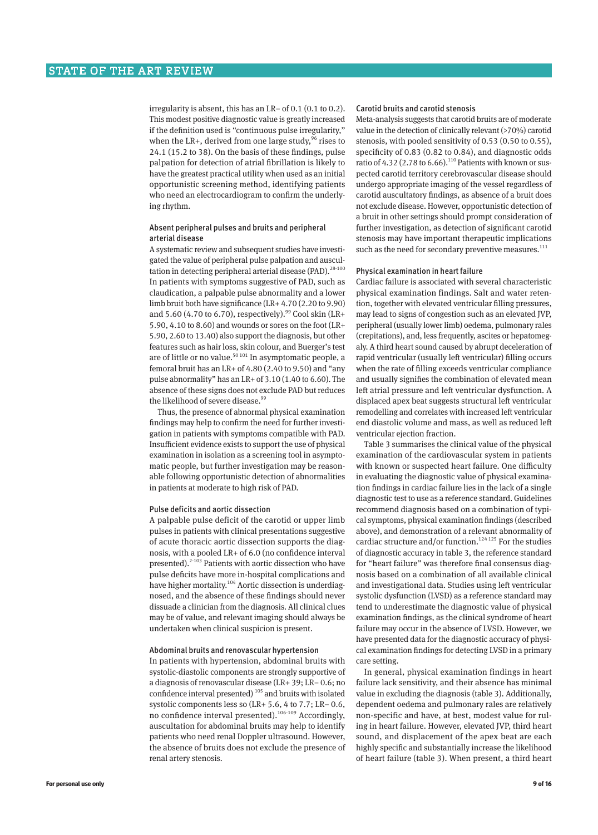irregularity is absent, this has an LR− of 0.1 (0.1 to 0.2). This modest positive diagnostic value is greatly increased if the definition used is "continuous pulse irregularity," when the LR+, derived from one large study,  $96$  rises to 24.1 (15.2 to 38). On the basis of these findings, pulse palpation for detection of atrial fibrillation is likely to have the greatest practical utility when used as an initial opportunistic screening method, identifying patients who need an electrocardiogram to confirm the underlying rhythm.

### Absent peripheral pulses and bruits and peripheral arterial disease

A systematic review and subsequent studies have investigated the value of peripheral pulse palpation and auscultation in detecting peripheral arterial disease (PAD).<sup>28-100</sup> In patients with symptoms suggestive of PAD, such as claudication, a palpable pulse abnormality and a lower limb bruit both have significance (LR+ 4.70 (2.20 to 9.90) and 5.60 (4.70 to 6.70), respectively).<sup>99</sup> Cool skin (LR+ 5.90, 4.10 to 8.60) and wounds or sores on the foot (LR+ 5.90, 2.60 to 13.40) also support the diagnosis, but other features such as hair loss, skin colour, and Buerger's test are of little or no value.<sup>50 101</sup> In asymptomatic people, a femoral bruit has an LR+ of  $4.80$  (2.40 to  $9.50$ ) and "any pulse abnormality" has an LR+ of 3.10 (1.40 to 6.60). The absence of these signs does not exclude PAD but reduces the likelihood of severe disease.<sup>99</sup>

Thus, the presence of abnormal physical examination findings may help to confirm the need for further investigation in patients with symptoms compatible with PAD. Insufficient evidence exists to support the use of physical examination in isolation as a screening tool in asymptomatic people, but further investigation may be reasonable following opportunistic detection of abnormalities in patients at moderate to high risk of PAD.

### Pulse deficits and aortic dissection

A palpable pulse deficit of the carotid or upper limb pulses in patients with clinical presentations suggestive of acute thoracic aortic dissection supports the diagnosis, with a pooled LR+ of 6.0 (no confidence interval presented).<sup>2-103</sup> Patients with aortic dissection who have pulse deficits have more in-hospital complications and have higher mortality.<sup>104</sup> Aortic dissection is underdiagnosed, and the absence of these findings should never dissuade a clinician from the diagnosis. All clinical clues may be of value, and relevant imaging should always be undertaken when clinical suspicion is present.

### Abdominal bruits and renovascular hypertension

In patients with hypertension, abdominal bruits with systolic-diastolic components are strongly supportive of a diagnosis of renovascular disease (LR+ 39; LR− 0.6; no confidence interval presented)<sup>105</sup> and bruits with isolated systolic components less so (LR+ 5.6, 4 to 7.7; LR− 0.6, no confidence interval presented).106‑109 Accordingly, auscultation for abdominal bruits may help to identify patients who need renal Doppler ultrasound. However, the absence of bruits does not exclude the presence of renal artery stenosis.

### Carotid bruits and carotid stenosis

Meta-analysis suggests that carotid bruits are of moderate value in the detection of clinically relevant (>70%) carotid stenosis, with pooled sensitivity of 0.53 (0.50 to 0.55), specificity of 0.83 (0.82 to 0.84), and diagnostic odds ratio of 4.32 (2.78 to 6.66).<sup>110</sup> Patients with known or suspected carotid territory cerebrovascular disease should undergo appropriate imaging of the vessel regardless of carotid auscultatory findings, as absence of a bruit does not exclude disease. However, opportunistic detection of a bruit in other settings should prompt consideration of further investigation, as detection of significant carotid stenosis may have important therapeutic implications such as the need for secondary preventive measures. $^{111}$ 

### Physical examination in heart failure

Cardiac failure is associated with several characteristic physical examination findings. Salt and water retention, together with elevated ventricular filling pressures, may lead to signs of congestion such as an elevated JVP, peripheral (usually lower limb) oedema, pulmonary rales (crepitations), and, less frequently, ascites or hepatomeg‑ aly. A third heart sound caused by abrupt deceleration of rapid ventricular (usually left ventricular) filling occurs when the rate of filling exceeds ventricular compliance and usually signifies the combination of elevated mean left atrial pressure and left ventricular dysfunction. A displaced apex beat suggests structural left ventricular remodelling and correlates with increased left ventricular end diastolic volume and mass, as well as reduced left ventricular ejection fraction.

Table 3 summarises the clinical value of the physical examination of the cardiovascular system in patients with known or suspected heart failure. One difficulty in evaluating the diagnostic value of physical examination findings in cardiac failure lies in the lack of a single diagnostic test to use as a reference standard. Guidelines recommend diagnosis based on a combination of typical symptoms, physical examination findings (described above), and demonstration of a relevant abnormality of cardiac structure and/or function.<sup>124 125</sup> For the studies of diagnostic accuracy in table 3, the reference standard for "heart failure" was therefore final consensus diagnosis based on a combination of all available clinical and investigational data. Studies using left ventricular systolic dysfunction (LVSD) as a reference standard may tend to underestimate the diagnostic value of physical examination findings, as the clinical syndrome of heart failure may occur in the absence of LVSD. However, we have presented data for the diagnostic accuracy of physical examination findings for detecting LVSD in a primary care setting.

In general, physical examination findings in heart failure lack sensitivity, and their absence has minimal value in excluding the diagnosis (table 3). Additionally, dependent oedema and pulmonary rales are relatively non-specific and have, at best, modest value for ruling in heart failure. However, elevated JVP, third heart sound, and displacement of the apex beat are each highly specific and substantially increase the likelihood of heart failure (table 3). When present, a third heart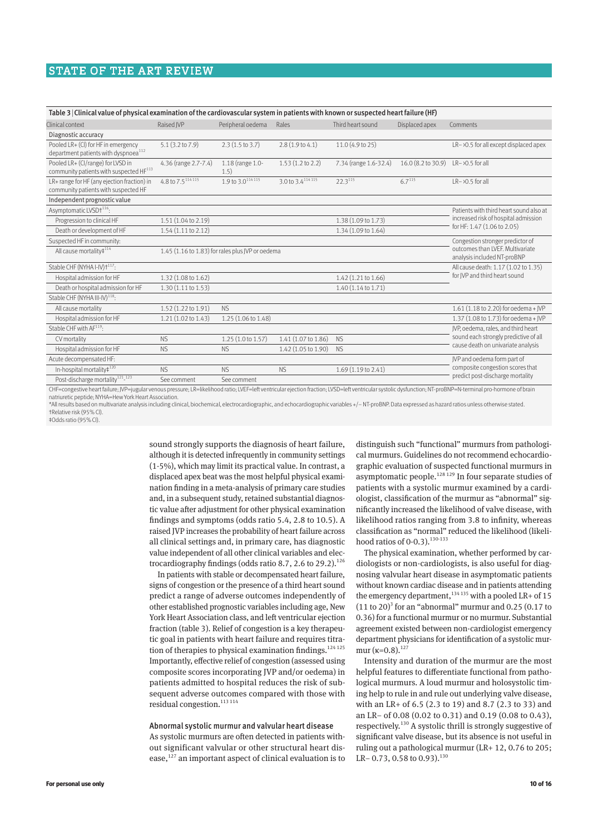| Table 3   Clinical value of physical examination of the cardiovascular system in patients with known or suspected heart failure (HF) |                              |                                                  |                             |                                  |                    |                                                                      |  |
|--------------------------------------------------------------------------------------------------------------------------------------|------------------------------|--------------------------------------------------|-----------------------------|----------------------------------|--------------------|----------------------------------------------------------------------|--|
| Clinical context                                                                                                                     | Raised IVP                   | Peripheral oedema                                | Rales                       | Third heart sound                | Displaced apex     | Comments                                                             |  |
| Diagnostic accuracy                                                                                                                  |                              |                                                  |                             |                                  |                    |                                                                      |  |
| Pooled LR+ (Cl) for HF in emergency<br>department patients with dyspnoea <sup>112</sup>                                              | $5.1(3.2 \text{ to } 7.9)$   | 2.3(1.5 to 3.7)                                  | 2.8(1.9 to 4.1)             | 11.0 (4.9 to 25)                 |                    | LR->0.5 for all except displaced apex                                |  |
| Pooled LR+ (CI/range) for LVSD in<br>community patients with suspected HF113                                                         | 4.36 (range 2.7-7.4)         | 1.18 (range 1.0-<br>1.5)                         | $1.53(1.2 \text{ to } 2.2)$ | 7.34 (range 1.6-32.4)            | 16.0 (8.2 to 30.9) | $LR - 20.5$ for all                                                  |  |
| LR+ range for HF (any ejection fraction) in<br>community patients with suspected HF                                                  | 4.8 to 7.5 <sup>114115</sup> | 1.9 to $3.0^{114115}$                            | 3.0 to $3.4^{114115}$       | $22.3^{115}$                     | $6.7^{115}$        | $LR - 20.5$ for all                                                  |  |
| Independent prognostic value                                                                                                         |                              |                                                  |                             |                                  |                    |                                                                      |  |
| Asymptomatic LVSD <sup>+116</sup> :                                                                                                  |                              |                                                  |                             |                                  |                    | Patients with third heart sound also at                              |  |
| Progression to clinical HF                                                                                                           | 1.51 (1.04 to 2.19)          |                                                  |                             | 1.38 (1.09 to 1.73)              |                    | increased risk of hospital admission                                 |  |
| Death or development of HF                                                                                                           | $1.54(1.11$ to $2.12)$       |                                                  |                             | 1.34 (1.09 to 1.64)              |                    | for HF: 1.47 (1.06 to 2.05)                                          |  |
| Suspected HF in community:                                                                                                           |                              |                                                  |                             | Congestion stronger predictor of |                    |                                                                      |  |
| All cause mortality#114                                                                                                              |                              | 1.45 (1.16 to 1.83) for rales plus JVP or oedema |                             |                                  |                    | outcomes than LVEF. Multivariate<br>analysis included NT-proBNP      |  |
| Stable CHF (NYHA I-IV) <sup>+117</sup> :                                                                                             |                              |                                                  |                             |                                  |                    | All cause death: 1.17 (1.02 to 1.35)                                 |  |
| Hospital admission for HF                                                                                                            | 1.32 (1.08 to 1.62)          |                                                  |                             | 1.42 (1.21 to 1.66)              |                    | for IVP and third heart sound                                        |  |
| Death or hospital admission for HF                                                                                                   | $1.30(1.11$ to $1.53)$       |                                                  |                             | 1.40 (1.14 to 1.71)              |                    |                                                                      |  |
| Stable CHF (NYHA III-IV) <sup>118</sup> :                                                                                            |                              |                                                  |                             |                                  |                    |                                                                      |  |
| All cause mortality                                                                                                                  | 1.52 (1.22 to 1.91)          | <b>NS</b>                                        |                             |                                  |                    | 1.61 (1.18 to 2.20) for oedema + JVP                                 |  |
| Hospital admission for HF                                                                                                            | 1.21(1.02 to 1.43)           | 1.25 (1.06 to 1.48)                              |                             |                                  |                    | 1.37 (1.08 to 1.73) for oedema + JVP                                 |  |
| Stable CHF with AF <sup>119</sup> :                                                                                                  |                              |                                                  |                             |                                  |                    | JVP, oedema, rales, and third heart                                  |  |
| CV mortality                                                                                                                         | <b>NS</b>                    | 1.25(1.0 to 1.57)                                | 1.41 (1.07 to 1.86)         | <b>NS</b>                        |                    | sound each strongly predictive of all                                |  |
| Hospital admission for HF                                                                                                            | <b>NS</b>                    | <b>NS</b>                                        | 1.42 (1.05 to 1.90)         | <b>NS</b>                        |                    | cause death on univariate analysis                                   |  |
| Acute decompensated HF:                                                                                                              |                              |                                                  |                             |                                  |                    | JVP and oedema form part of                                          |  |
| In-hospital mortality#120                                                                                                            | <b>NS</b>                    | <b>NS</b>                                        | <b>NS</b>                   | 1.69 (1.19 to 2.41)              |                    | composite congestion scores that<br>predict post-discharge mortality |  |
| Post-discharge mortality <sup>121</sup> - <sup>123</sup>                                                                             | See comment                  | See comment                                      |                             |                                  |                    |                                                                      |  |

CHF=congestive heart failure; JVP=jugular venous pressure; LR=likelihood ratio; LVEF=left ventricular ejection fraction; LVSD=left ventricular systolic dysfunction; NT-proBNP=N-terminal pro-hormone of brain natriuretic peptide; NYHA=Hew York Heart Association. \*All results based on multivariate analysis including clinical, biochemical, electrocardiographic, and echocardiographic variables +/− NT-proBNP. Data expressed as hazard ratios unless otherwise stated.

†Relative risk (95% CI).

‡Odds ratio (95% CI).

sound strongly supports the diagnosis of heart failure, although it is detected infrequently in community settings (1-5%), which may limit its practical value. In contrast, a displaced apex beat was the most helpful physical examination finding in a meta-analysis of primary care studies and, in a subsequent study, retained substantial diagnostic value after adjustment for other physical examination findings and symptoms (odds ratio 5.4, 2.8 to 10.5). A raised JVP increases the probability of heart failure across all clinical settings and, in primary care, has diagnostic value independent of all other clinical variables and electrocardiography findings (odds ratio 8.7, 2.6 to 29.2).<sup>126</sup>

In patients with stable or decompensated heart failure, signs of congestion or the presence of a third heart sound predict a range of adverse outcomes independently of other established prognostic variables including age, New York Heart Association class, and left ventricular ejection fraction (table 3). Relief of congestion is a key therapeutic goal in patients with heart failure and requires titration of therapies to physical examination findings.<sup>124 125</sup> Importantly, effective relief of congestion (assessed using composite scores incorporating JVP and/or oedema) in patients admitted to hospital reduces the risk of subsequent adverse outcomes compared with those with residual congestion.<sup>113 114</sup>

### Abnormal systolic murmur and valvular heart disease

As systolic murmurs are often detected in patients without significant valvular or other structural heart disease,  $^{127}$  an important aspect of clinical evaluation is to

distinguish such "functional" murmurs from pathological murmurs. Guidelines do not recommend echocardiographic evaluation of suspected functional murmurs in asymptomatic people.<sup>128 129</sup> In four separate studies of patients with a systolic murmur examined by a cardiologist, classification of the murmur as "abnormal" significantly increased the likelihood of valve disease, with likelihood ratios ranging from 3.8 to infinity, whereas classification as "normal" reduced the likelihood (likelihood ratios of 0-0.3). $130 - 133$ 

The physical examination, whether performed by cardiologists or non-cardiologists, is also useful for diagnosing valvular heart disease in asymptomatic patients without known cardiac disease and in patients attending the emergency department,  $134135$  with a pooled LR+ of 15  $(11$  to 20)<sup>3</sup> for an "abnormal" murmur and 0.25  $(0.17)$  to 0.36) for a functional murmur or no murmur. Substantial agreement existed between non-cardiologist emergency department physicians for identification of a systolic murmur (κ=0.8). $127$ 

Intensity and duration of the murmur are the most helpful features to differentiate functional from pathological murmurs. A loud murmur and holosystolic timing help to rule in and rule out underlying valve disease, with an LR+ of 6.5 (2.3 to 19) and 8.7 (2.3 to 33) and an LR− of 0.08 (0.02 to 0.31) and 0.19 (0.08 to 0.43), respectively.130 A systolic thrill is strongly suggestive of significant valve disease, but its absence is not useful in ruling out a pathological murmur (LR+ 12, 0.76 to 205; LR− 0.73, 0.58 to 0.93).<sup>130</sup>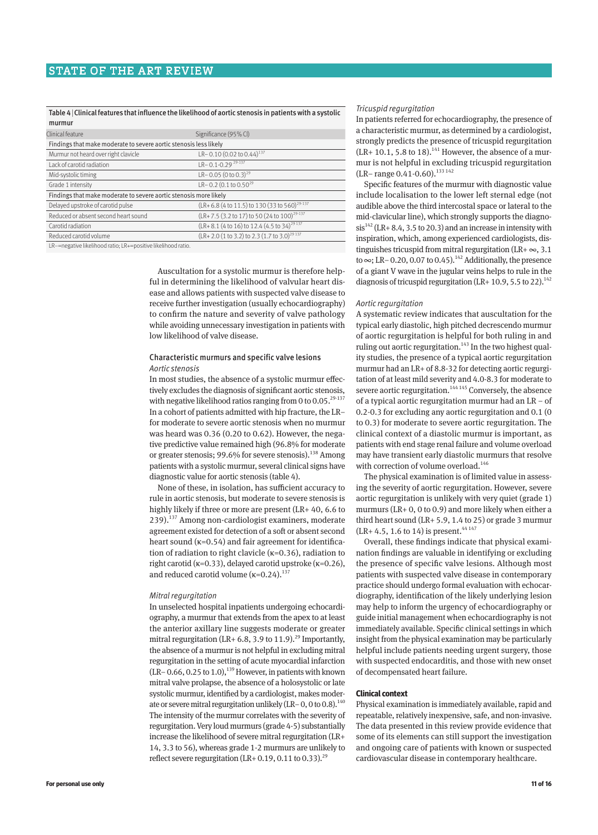Table 4|Clinical features that influence the likelihood of aortic stenosis in patients with a systolic murmur

| Clinical feature                                                  | Significance (95% CI)                                   |  |  |
|-------------------------------------------------------------------|---------------------------------------------------------|--|--|
| Findings that make moderate to severe aortic stenosis less likely |                                                         |  |  |
| Murmur not heard over right clavicle                              | LR- 0.10 (0.02 to 0.44) <sup>137</sup>                  |  |  |
| Lack of carotid radiation                                         | LR- $0.1 - 0.29^{29 \cdot 137}$                         |  |  |
| Mid-systolic timing                                               | LR- 0.05 (0 to 0.3) <sup>29</sup>                       |  |  |
| Grade 1 intensity                                                 | LR-0.2 (0.1 to $0.50^{29}$                              |  |  |
| Findings that make moderate to severe aortic stenosis more likely |                                                         |  |  |
| Delayed upstroke of carotid pulse                                 | $(LR + 6.8 (4 to 11.5) to 130 (33 to 560)^{29.137})$    |  |  |
| Reduced or absent second heart sound                              | (LR+7.5 (3.2 to 17) to 50 (24 to 100) <sup>29-137</sup> |  |  |
| Carotid radiation                                                 | (LR+8.1 (4 to 16) to 12.4 (4.5 to 34) <sup>29 137</sup> |  |  |
| Reduced carotid volume                                            | $(LR + 2.0 (1 to 3.2) to 2.3 (1.7 to 3.0)^{29.137})$    |  |  |
|                                                                   |                                                         |  |  |

LR−=negative likelihood ratio; LR+=positive likelihood ratio.

Auscultation for a systolic murmur is therefore helpful in determining the likelihood of valvular heart disease and allows patients with suspected valve disease to receive further investigation (usually echocardiography) to confirm the nature and severity of valve pathology while avoiding unnecessary investigation in patients with low likelihood of valve disease.

### Characteristic murmurs and specific valve lesions *Aortic stenosis*

In most studies, the absence of a systolic murmur effec‑ tively excludes the diagnosis of significant aortic stenosis, with negative likelihood ratios ranging from 0 to  $0.05$ .<sup>29-137</sup> In a cohort of patients admitted with hip fracture, the LR− for moderate to severe aortic stenosis when no murmur was heard was  $0.36$  (0.20 to 0.62). However, the negative predictive value remained high (96.8% for moderate or greater stenosis; 99.6% for severe stenosis).<sup>138</sup> Among patients with a systolic murmur, several clinical signs have diagnostic value for aortic stenosis (table 4).

None of these, in isolation, has sufficient accuracy to rule in aortic stenosis, but moderate to severe stenosis is highly likely if three or more are present (LR+ 40, 6.6 to 239).137 Among non-cardiologist examiners, moderate agreement existed for detection of a soft or absent second heart sound ( $\kappa$ =0.54) and fair agreement for identification of radiation to right clavicle (κ=0.36), radiation to right carotid (κ=0.33), delayed carotid upstroke (κ=0.26), and reduced carotid volume  $(\kappa=0.24).$ <sup>1</sup>

### *Mitral regurgitation*

In unselected hospital inpatients undergoing echocardiography, a murmur that extends from the apex to at least the anterior axillary line suggests moderate or greater mitral regurgitation (LR+ 6.8, 3.9 to 11.9).<sup>29</sup> Importantly, the absence of a murmur is not helpful in excluding mitral regurgitation in the setting of acute myocardial infarction  $(LR-0.66, 0.25 \text{ to } 1.0)$ ,<sup>139</sup> However, in patients with known mitral valve prolapse, the absence of a holosystolic or late systolic murmur, identified by a cardiologist, makes moderate or severe mitral regurgitation unlikely (LR-0, 0 to 0.8).<sup>140</sup> The intensity of the murmur correlates with the severity of regurgitation. Very loud murmurs (grade 4-5) substantially increase the likelihood of severe mitral regurgitation (LR+ 14, 3.3 to 56), whereas grade 1-2 murmurs are unlikely to reflect severe regurgitation (LR+ 0.19, 0.11 to 0.33).<sup>29</sup>

### *Tricuspid regurgitation*

In patients referred for echocardiography, the presence of a characteristic murmur, as determined by a cardiologist, strongly predicts the presence of tricuspid regurgitation  $(LR+10.1, 5.8 \text{ to } 18).$ <sup>141</sup> However, the absence of a murmur is not helpful in excluding tricuspid regurgitation (LR− range 0.41-0.60).133 142

Specific features of the murmur with diagnostic value include localisation to the lower left sternal edge (not audible above the third intercostal space or lateral to the mid-clavicular line), which strongly supports the diagno $sis^{142}$  (LR+ 8.4, 3.5 to 20.3) and an increase in intensity with inspiration, which, among experienced cardiologists, distinguishes tricuspid from mitral regurgitation (LR+ $\infty$ , 3.1 to ∞; LR-0.20, 0.07 to 0.45).<sup>142</sup> Additionally, the presence of a giant V wave in the jugular veins helps to rule in the diagnosis of tricuspid regurgitation (LR+ 10.9, 5.5 to 22).<sup>142</sup>

### *Aortic regurgitation*

A systematic review indicates that auscultation for the typical early diastolic, high pitched decrescendo murmur of aortic regurgitation is helpful for both ruling in and ruling out aortic regurgitation.<sup>143</sup> In the two highest quality studies, the presence of a typical aortic regurgitation murmur had an  $LR+$  of 8.8-32 for detecting aortic regurgitation of at least mild severity and 4.0-8.3 for moderate to severe aortic regurgitation.<sup>144 145</sup> Conversely, the absence of a typical aortic regurgitation murmur had an LR − of 0.2-0.3 for excluding any aortic regurgitation and 0.1 (0 to 0.3) for moderate to severe aortic regurgitation. The clinical context of a diastolic murmur is important, as patients with end stage renal failure and volume overload may have transient early diastolic murmurs that resolve with correction of volume overload.<sup>146</sup>

The physical examination is of limited value in assessing the severity of aortic regurgitation. However, severe aortic regurgitation is unlikely with very quiet (grade 1) murmurs (LR+ 0, 0 to 0.9) and more likely when either a third heart sound (LR+ 5.9, 1.4 to 25) or grade 3 murmur  $(LR+4.5, 1.6 \text{ to } 14)$  is present.<sup>44 147</sup>

Overall, these findings indicate that physical examination findings are valuable in identifying or excluding the presence of specific valve lesions. Although most patients with suspected valve disease in contemporary practice should undergo formal evaluation with echocardiography, identification of the likely underlying lesion may help to inform the urgency of echocardiography or guide initial management when echocardiography is not immediately available. Specific clinical settings in which insight from the physical examination may be particularly helpful include patients needing urgent surgery, those with suspected endocarditis, and those with new onset of decompensated heart failure.

### **Clinical context**

Physical examination is immediately available, rapid and repeatable, relatively inexpensive, safe, and non-invasive. The data presented in this review provide evidence that some of its elements can still support the investigation and ongoing care of patients with known or suspected cardiovascular disease in contemporary healthcare.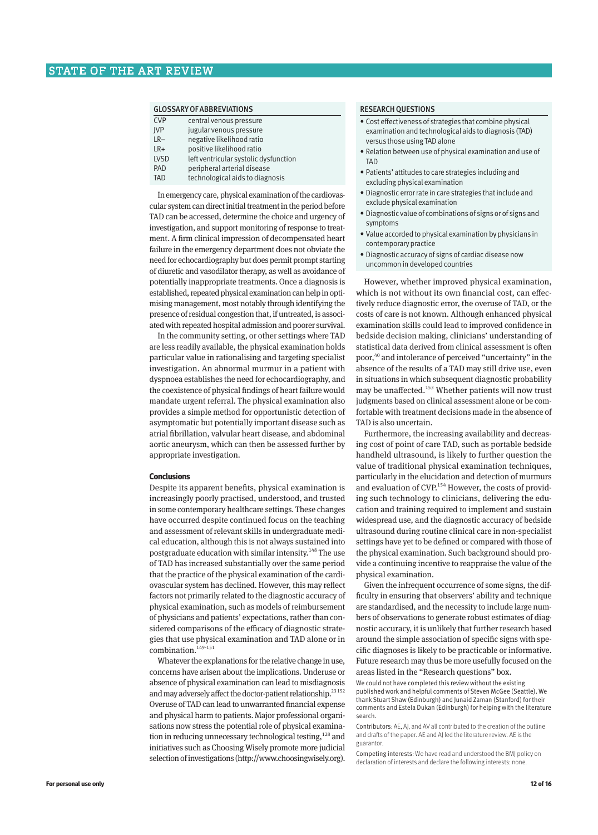### GLOSSARY OF ABBREVIATIONS

| <b>CVP</b>  | central venous pressure               |
|-------------|---------------------------------------|
| <b>IVP</b>  | jugular venous pressure               |
| $IR-$       | negative likelihood ratio             |
| $LR+$       | positive likelihood ratio             |
| <b>LVSD</b> | left ventricular systolic dysfunction |
| PAD         | peripheral arterial disease           |
| <b>TAD</b>  | technological aids to diagnosis       |
|             |                                       |

In emergency care, physical examination of the cardiovascular system can direct initial treatment in the period before TAD can be accessed, determine the choice and urgency of investigation, and support monitoring of response to treatment. A firm clinical impression of decompensated heart failure in the emergency department does not obviate the need for echocardiography but does permit prompt starting of diuretic and vasodilator therapy, as well as avoidance of potentially inappropriate treatments. Once a diagnosis is established, repeated physical examination can help in optimising management, most notably through identifying the presence of residual congestion that, if untreated, is associated with repeated hospital admission and poorer survival.

In the community setting, or other settings where TAD are less readily available, the physical examination holds particular value in rationalising and targeting specialist investigation. An abnormal murmur in a patient with dyspnoea establishes the need for echocardiography, and the coexistence of physical findings of heart failure would mandate urgent referral. The physical examination also provides a simple method for opportunistic detection of asymptomatic but potentially important disease such as atrial fibrillation, valvular heart disease, and abdominal aortic aneurysm, which can then be assessed further by appropriate investigation.

### **Conclusions**

Despite its apparent benefits, physical examination is increasingly poorly practised, understood, and trusted in some contemporary healthcare settings. These changes have occurred despite continued focus on the teaching and assessment of relevant skills in undergraduate medical education, although this is not always sustained into postgraduate education with similar intensity.<sup>148</sup> The use of TAD has increased substantially over the same period that the practice of the physical examination of the cardiovascular system has declined. However, this may reflect factors not primarily related to the diagnostic accuracy of physical examination, such as models of reimbursement of physicians and patients' expectations, rather than considered comparisons of the efficacy of diagnostic strategies that use physical examination and TAD alone or in combination.<sup>149-151</sup>

Whatever the explanations for the relative change in use, concerns have arisen about the implications. Underuse or absence of physical examination can lead to misdiagnosis and may adversely affect the doctor-patient relationship.<sup>23152</sup> Overuse of TAD can lead to unwarranted financial expense and physical harm to patients. Major professional organisations now stress the potential role of physical examination in reducing unnecessary technological testing,<sup>128</sup> and initiatives such as Choosing Wisely promote more judicial selection of investigations (http://www.choosingwisely.org).

### RESEARCH QUESTIONS

- Cost effectiveness of strategies that combine physical examination and technological aids to diagnosis (TAD) versus those using TAD alone
- Relation between use of physical examination and use of **TAD**
- Patients' attitudes to care strategies including and excluding physical examination
- Diagnostic error rate in care strategies that include and exclude physical examination
- Diagnostic value of combinations of signs or of signs and symptoms
- Value accorded to physical examination by physicians in contemporary practice
- Diagnostic accuracy of signs of cardiac disease now uncommon in developed countries

However, whether improved physical examination, which is not without its own financial cost, can effectively reduce diagnostic error, the overuse of TAD, or the costs of care is not known. Although enhanced physical examination skills could lead to improved confidence in bedside decision making, clinicians' understanding of statistical data derived from clinical assessment is often poor,<sup>40</sup> and intolerance of perceived "uncertainty" in the absence of the results of a TAD may still drive use, even in situations in which subsequent diagnostic probability may be unaffected.<sup>153</sup> Whether patients will now trust judgments based on clinical assessment alone or be comfortable with treatment decisions made in the absence of TAD is also uncertain.

Furthermore, the increasing availability and decreasing cost of point of care TAD, such as portable bedside handheld ultrasound, is likely to further question the value of traditional physical examination techniques, particularly in the elucidation and detection of murmurs and evaluation of  $CVP<sub>154</sub>$  However, the costs of providing such technology to clinicians, delivering the education and training required to implement and sustain widespread use, and the diagnostic accuracy of bedside ultrasound during routine clinical care in non-specialist settings have yet to be defined or compared with those of the physical examination. Such background should provide a continuing incentive to reappraise the value of the physical examination.

Given the infrequent occurrence of some signs, the difficulty in ensuring that observers' ability and technique are standardised, and the necessity to include large numbers of observations to generate robust estimates of diagnostic accuracy, it is unlikely that further research based around the simple association of specific signs with specific diagnoses is likely to be practicable or informative. Future research may thus be more usefully focused on the areas listed in the "Research questions" box.

We could not have completed this review without the existing published work and helpful comments of Steven McGee (Seattle). We thank Stuart Shaw (Edinburgh) and Junaid Zaman (Stanford) for their comments and Estela Dukan (Edinburgh) for helping with the literature search.

Contributors: AE, AJ, and AV all contributed to the creation of the outline and drafts of the paper. AE and AJ led the literature review. AE is the guarantor.

Competing interests: We have read and understood the BMJ policy on declaration of interests and declare the following interests: none.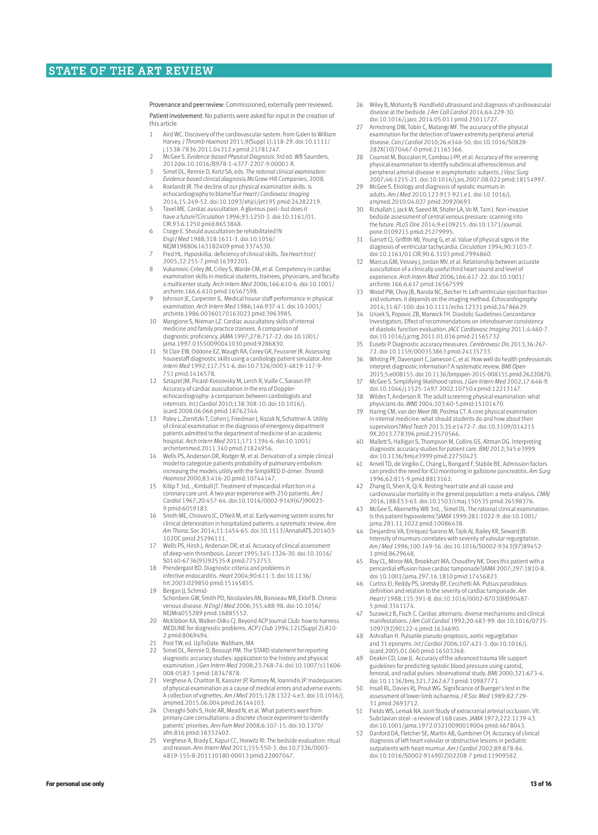Provenance and peer review: Commissioned; externally peer reviewed. Patient involvement: No patients were asked for input in the creation of this article.

- 1 Aird WC. Discovery of the cardiovascular system: from Galen to William Harvey. *J Thromb Haemost* 2011;9(Suppl 1):118-29. doi:10.1111/ j.1538-7836.2011.04312.x pmid:21781247.
- 2 McGee S. *Evidence-based Physical Diagnosis.*3rd ed. WB Saunders, 2012doi:10.1016/B978-1-4377-2207-9.00001-X.
- 3 Simel DL, Rennie D, Keitz SA, eds. *The rational clinical examination: Evidence based clinical diagnosis.*McGraw-Hill Companies, 2008.
- 4 Roelandt JR. The decline of our physical examination skills: is echocardiography to blame?*Eur Heart J Cardiovasc Imaging* 2014;15:249-52. doi:10.1093/ehjci/jet195 pmid:24282219.
- 5 Tavel ME. Cardiac auscultation. A glorious past--but does it have a future?*Circulation* 1996;93:1250-3. doi:10.1161/01. CIR.93.6.1250 pmid:8653848. 6 Craige E. Should auscultation be rehabilitated?*N*
- *Engl J Med* 1988;318:1611-3. doi:10.1056/
- NEJM198806163182409 pmid:3374530. 7 Fred HL. Hyposkillia: deficiency of clinical skills. *Tex Heart Inst J* 2005;32:255-7.pmid:16392201.
- 8 Vukanovic-Criley JM, Criley S, Warde CM, et al. Competency in cardiac examination skills in medical students, trainees, physicians, and faculty: a multicenter study. *Arch Intern Med* 2006;166:610-6. doi:10.1001/ archinte.166.6.610 pmid:16567598.
- 9 Iohnson JE, Carpenter IL, Medical house staff performance in physical examination. *Arch Intern Med* 1986;146:937-41. doi:10.1001/ archinte.1986.00360170163023 pmid:3963985.
- 10 Mangione S, Nieman LZ. Cardiac auscultatory skills of internal medicine and family practice trainees. A comparison of diagnostic proficiency. *JAMA* 1997;278:717-22. doi:10.1001/ jama.1997.03550090041030 pmid:9286830.
- 11 St Clair EW, Oddone EZ, Waugh RA, Corey GR, Feussner JR. Assessing housestaff diagnostic skills using a cardiology patient simulator. *Ann Intern Med* 1992;117:751-6. doi:10.7326/0003-4819-117-9- 751 pmid:1416578.
- 12 Sztajzel JM, Picard-Kossovsky M, Lerch R, Vuille C, Sarasin FP. Accuracy of cardiac auscultation in the era of Dopplerechocardiography: a comparison between cardiologists and internists. *Int J Cardiol* 2010;138:308-10. doi:10.1016/j. ijcard.2008.06.066 pmid:18762344.
- 13 Paley L, Zornitzki T, Cohen J, Friedman J, Kozak N, Schattner A. Utility of clinical examination in the diagnosis of emergency department patients admitted to the department of medicine of an academic hospital. *Arch Intern Med* 2011;171:1394-6. doi:10.1001/ archinternmed.2011.340 pmid:21824956.
- 14 Wells PS, Anderson DR, Rodger M, et al. Derivation of a simple clinical model to categorize patients probability of pulmonary embolism: increasing the models utility with the SimpliRED D-dimer. *Thromb Haemost* 2000;83:416-20.pmid:10744147.
- 15 Killip T 3rd, , Kimball JT. Treatment of myocardial infarction in a coronary care unit. A two year experience with 250 patients. *Am J Cardiol* 1967;20:457-64. doi:10.1016/0002-9149(67)90023- 9 pmid:6059183.
- 16 Smith ME, Chiovaro JC, O'Neil M, et al. Early warning system scores for clinical deterioration in hospitalized patients: a systematic review. *Ann Am Thorac Soc* 2014;11:1454-65. doi:10.1513/AnnalsATS.201403- 102OC pmid:25296111.
- 17 Wells PS, Hirsh J, Anderson DR, et al. Accuracy of clinical assessment of deep-vein thrombosis. *Lancet* 1995;345:1326-30. doi:10.1016/ S0140-6736(95)92535-X pmid:7752753.
- 18 Prendergast BD. Diagnostic criteria and problems in infective endocarditis. *Heart* 2004;90:611-3. doi:10.1136/ hrt.2003.029850 pmid:15145855.
- 19 Bergan JJ, Schmid-Schönbein GW, Smith PD, Nicolaides AN, Boisseau MR, Eklof B. Chronic venous disease. *N Engl J Med* 2006;355:488-98. doi:10.1056/ NEJMra055289 pmid:16885552.
- 20 McKibbon KA, Walker-Dilks CJ. Beyond ACP Journal Club: how to harness MEDLINE for diagnostic problems. *ACP J Club* 1994;121(Suppl 2):A10- 2.pmid:8069494.
- 21 Post TW, ed. UpToDate. Waltham, MA<br>22 Simel DL. Rennie D. Bossuvt PM. The !
- Simel DL, Rennie D, Bossuyt PM. The STARD statement for reporting diagnostic accuracy studies: application to the history and physical examination. *J Gen Intern Med* 2008;23:768-74. doi:10.1007/s11606- 008-0583-3 pmid:18347878.
- 23 Verghese A, Charlton B, Kassirer JP, Ramsey M, Ioannidis JP. Inadequacies of physical examination as a cause of medical errors and adverse events: A collection of vignettes. *Am J Med* 2015;128:1322-4.e3. doi:10.1016/j.
- amjmed.2015.06.004 pmid:26144103. 24 Cheraghi-Sohi S, Hole AR, Mead N, et al. What patients want from primary care consultations: a discrete choice experiment to identify patients' priorities. *Ann Fam Med* 2008;6:107-15. doi:10.1370/ afm.816 pmid:18332402.
- 25 Verghese A, Brady E, Kapur CC, Horwitz RI. The bedside evaluation: ritual and reason. *Ann Intern Med* 2011;155:550-3. doi:10.7326/0003- 4819-155-8-201110180-00013 pmid:22007047.
- 26 Wiley B, Mohanty B. Handheld ultrasound and diagnosis of cardiovascular disease at the bedside. *J Am Coll Cardiol* 2014;64:229-30. doi:10.1016/j.jacc.2014.05.011 pmid:25011727.
- 27 Armstrong DW, Tobin C, Matangi MF. The accuracy of the physical examination for the detection of lower extremity peripheral arterial disease. *Can J Cardiol* 2010;26:e346-50. doi:10.1016/S0828-
- 282X(10)70467-0 pmid:21165366. 28 Cournot M, Boccalon H, Cambou J-PP, et al. Accuracy of the screening physical examination to identify subclinical atherosclerosis and peripheral arterial disease in asymptomatic subjects. *J Vasc Surg*
- 2007;46:1215-21. doi:10.1016/j.jvs.2007.08.022 pmid:18154997. 29 McGee S. Etiology and diagnosis of systolic murmurs in adults. *Am J Med* 2010;123:913-921.e1. doi:10.1016/j.
- amjmed.2010.04.027 pmid:20920693. 30 Rizkallah J, Jack M, Saeed M, Shafer LA, Vo M, Tam J. Non-invasive bedside assessment of central venous pressure: scanning into the future. *PLoS One* 2014;9:e109215. doi:10.1371/journal. pone.0109215 pmid:25279995.
- 31 Garratt CJ, Griffith MJ, Young G, et al. Value of physical signs in the diagnosis of ventricular tachycardia. *Circulation* 1994;90:3103-7. doi:10.1161/01.CIR.90.6.3103 pmid:7994860.
- 32 Marcus GM, Vessey J, Jordan MV, et al. Relationship between accurate auscultation of a clinically useful third heart sound and level of experience. *Arch Intern Med* 2006;166:617-22. doi:10.1001/ archinte.166.6.617 pmid:16567599.
- Wood PW, Choy JB, Nanda NC, Becher H. Left ventricular ejection fraction and volumes: it depends on the imaging method. *Echocardiography* 2014;31:87-100. doi:10.1111/echo.12331 pmid:24786629.
- Unzek S, Popovic ZB, Marwick TH. Diastolic Guidelines Concordance Investigators. Effect of recommendations on interobserver consistency of diastolic function evaluation. *JACC Cardiovasc Imaging* 2011;4:460-7. doi:10.1016/j.jcmg.2011.01.016 pmid:21565732.
- 35 Eusebi P. Diagnostic accuracy measures. *Cerebrovasc Dis* 2013;36:267- 72. doi:10.1159/000353863 pmid:24135733. 36 Whiting PF, Davenport C, Jameson C, et al. How well do health professionals
- interpret diagnostic information? A systematic review. *BMJ Open* 2015;5:e008155. doi:10.1136/bmjopen-2015-008155 pmid:26220870.
- 37 McGee S. Simplifying likelihood ratios. *J Gen Intern Med* 2002;17:646-9.
- doi:10.1046/j.1525-1497.2002.10750.x pmid:12213147. 38 Wildes T, Anderson R. The adult screening physical examination: what physicians do. *WMJ* 2004;103:60-5.pmid:15101470.
- 39 Haring CM, van der Meer JW, Postma CT. A core physical examination in internal medicine: what should students do and how about their supervisors?*Med Teach* 2013;35:e1472-7. doi:10.3109/014215 9X.2013.778396 pmid:23570566.
- 40 Mallett S, Halligan S, Thompson M, Collins GS, Altman DG. Interpreting diagnostic accuracy studies for patient care. *BMJ* 2012;345:e3999. doi:10.1136/bmj.e3999 pmid:22750423.
- 41 Arnell TD, de Virgilio C, Chang L, Bongard F, Stabile BE. Admission factors can predict the need for ICU monitoring in gallstone pancreatitis. *Am Surg* 1996;62:815-9.pmid:8813162.
- 42 Zhang D, Shen X, Qi X. Resting heart rate and all-cause and cardiovascular mortality in the general population: a meta-analysis. *CMAJ* 2016;188:E53-63. doi:10.1503/cmaj.150535 pmid:26598376.
- McGee S, Abernethy WB 3rd, , Simel DL. The rational clinical examination. Is this patient hypovolemic?*JAMA* 1999;281:1022-9. doi:10.1001/ jama.281.11.1022 pmid:10086438.
- 44 Desjardins VA, Enriquez-Sarano M, Tajik AJ, Bailey KR, Seward JB. Intensity of murmurs correlates with severity of valvular regurgitation. *Am J Med* 1996;100:149-56. doi:10.1016/S0002-9343(97)89452- 1 pmid:8629648.
- Roy CL, Minor MA, Brookhart MA, Choudhry NK. Does this patient with a pericardial effusion have cardiac tamponade?*JAMA* 2007;297:1810-8. doi:10.1001/jama.297.16.1810 pmid:17456823.
- Curtiss EI, Reddy PS, Uretsky BF, Cecchetti AA. Pulsus paradoxus: definition and relation to the severity of cardiac tamponade. *Am Heart J* 1988;115:391-8. doi:10.1016/0002-8703(88)90487- 5 pmid:3341174.
- 47 Surawicz B, Fisch C. Cardiac alternans: diverse mechanisms and clinical manifestations. *J Am Coll Cardiol* 1992;20:483-99. doi:10.1016/0735- 1097(92)90122-4 pmid:1634690.
- 48 Ashrafian H. Pulsatile pseudo-proptosis, aortic regurgitation and 31 eponyms. *Int J Cardiol* 2006;107:421-3. doi:10.1016/j. ijcard.2005.01.060 pmid:16503268.
- 49 Deakin CD, Low JL. Accuracy of the advanced trauma life support guidelines for predicting systolic blood pressure using carotid, femoral, and radial pulses: observational study. *BMJ* 2000;321:673-4.
- doi:10.1136/bmj.321.7262.673 pmid:10987771. 50 Insall RL, Davies RJ, Prout WG. Significance of Buerger's test in the assessment of lower limb ischaemia. *J R Soc Med* 1989;82:729- 31.pmid:2693712.
- 51 Fields WS, Lemak NA. Joint Study of extracranial arterial occlusion. VII. Subclavian steal--a review of 168 cases. *JAMA* 1972;222:1139-43. doi:10.1001/jama.1972.03210090019004 pmid:4678043.
- 52 Danford DA, Fletcher SE, Martin AB, Gumbiner CH. Accuracy of clinical diagnosis of left heart valvular or obstructive lesions in pediatric outpatients with heart murmur. *Am J Cardiol* 2002;89:878-84. doi:10.1016/S0002-9149(02)02208-7 pmid:11909582.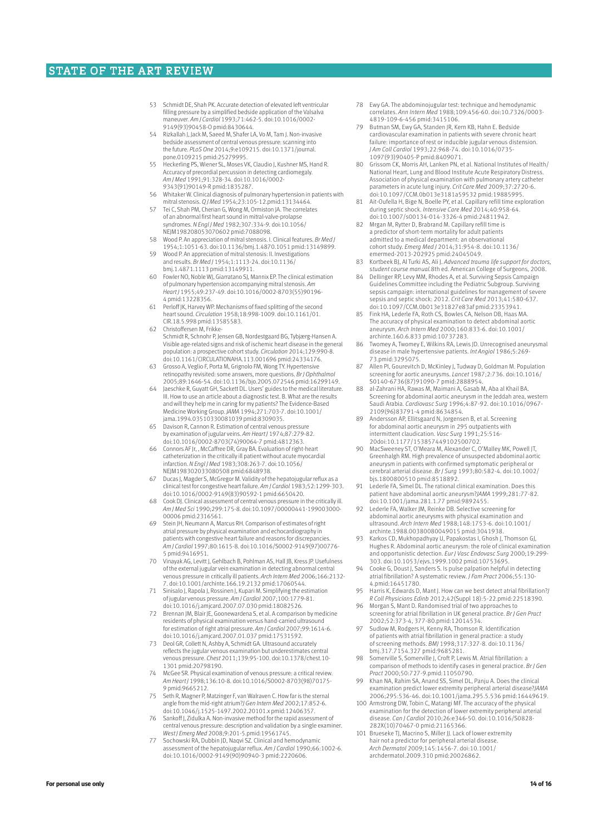- 53 Schmidt DE, Shah PK. Accurate detection of elevated left ventricular filling pressure by a simplified bedside application of the Valsalva maneuver. *Am J Cardiol* 1993;71:462-5. doi:10.1016/0002- 9149(93)90458-O pmid:8430644.
- 54 Rizkallah J, Jack M, Saeed M, Shafer LA, Vo M, Tam J. Non-invasive bedside assessment of central venous pressure: scanning into the future. *PLoS One* 2014;9:e109215. doi:10.1371/journal. pone.0109215 pmid:25279995.
- 55 Heckerling PS, Wiener SL, Moses VK, Claudio J, Kushner MS, Hand R. Accuracy of precordial percussion in detecting cardiomegaly. *Am J Med* 1991;91:328-34. doi:10.1016/0002- 9343(91)90149-R pmid:1835287.
- 56 Whitaker W. Clinical diagnosis of pulmonary hypertension in patients with
- mitral stenosis. *Q J Med* 1954;23:105-12.pmid:13134464. 57 Tei C, Shah PM, Cherian G, Wong M, Ormiston JA. The correlates of an abnormal first heart sound in mitral-valve-prolapse syndromes. *N Engl J Med* 1982;307:334-9. doi:10.1056/ NEJM198208053070602 pmid:7088098.
- 58 Wood P. An appreciation of mitral stenosis. I. Clinical features. *Br Med J* 1954;1:1051-63. doi:10.1136/bmj.1.4870.1051 pmid:13149899.
- 59 Wood P. An appreciation of mitral stenosis: II. Investigations and results. *Br Med J* 1954;1:1113-24. doi:10.1136/ bmj.1.4871.1113 pmid:13149911.
- 60 Fowler NO, Noble WJ, Giarratano SJ, Mannix EP. The clinical estimation of pulmonary hypertension accompanying mitral stenosis. *Am Heart J* 1955;49:237-49. doi:10.1016/0002-8703(55)90196- 4 pmid:13228356.
- 61 Perloff JK, Harvey WP. Mechanisms of fixed splitting of the second heart sound. *Circulation* 1958;18:998-1009. doi:10.1161/01. CIR.18.5.998 pmid:13585583.
- 62 Christoffersen M, Frikke-Schmidt R, Schnohr P, Jensen GB, Nordestgaard BG, Tybjærg-Hansen A. Visible age-related signs and risk of ischemic heart disease in the general population: a prospective cohort study. *Circulation* 2014;129:990-8. doi:10.1161/CIRCULATIONAHA.113.001696 pmid:24334176.
- 63 Grosso A, Veglio F, Porta M, Grignolo FM, Wong TY. Hypertensive retinopathy revisited: some answers, more questions. *Br J Ophthalmol* 2005;89:1646-54. doi:10.1136/bjo.2005.072546 pmid:16299149.
- 64 Jaeschke R, Guyatt GH, Sackett DL. Users' guides to the medical literature. III. How to use an article about a diagnostic test. B. What are the results and will they help me in caring for my patients? The Evidence-Based Medicine Working Group. *JAMA* 1994;271:703-7. doi:10.1001/
- jama.1994.03510330081039 pmid:8309035. 65 Davison R, Cannon R. Estimation of central venous pressure by examination of jugular veins. *Am Heart J* 1974;87:279-82.
- doi:10.1016/0002-8703(74)90064-7 pmid:4812363. 66 Connors AF Jr, , McCaffree DR, Gray BA. Evaluation of right-heart catheterization in the critically ill patient without acute myocardial infarction. *N Engl J Med* 1983;308:263-7. doi:10.1056/ NEJM198302033080508 pmid:6848938.
- 67 Ducas J, Magder S, McGregor M. Validity of the hepatojugular reflux as a clinical test for congestive heart failure. *Am J Cardiol* 1983;52:1299-303. doi:10.1016/0002-9149(83)90592-1 pmid:6650420.
- 68 Cook DJ. Clinical assessment of central venous pressure in the critically ill. *Am J Med Sci* 1990;299:175-8. doi:10.1097/00000441-199003000- 00006 pmid:2316561.
- 69 Stein JH, Neumann A, Marcus RH. Comparison of estimates of right atrial pressure by physical examination and echocardiography in patients with congestive heart failure and reasons for discrepancies. *Am J Cardiol* 1997;80:1615-8. doi:10.1016/S0002-9149(97)00776- 5 pmid:9416951.
- 70 Vinayak AG, Levitt J, Gehlbach B, Pohlman AS, Hall JB, Kress JP. Usefulness of the external jugular vein examination in detecting abnormal central venous pressure in critically ill patients. *Arch Intern Med* 2006;166:2132- 7. doi:10.1001/archinte.166.19.2132 pmid:17060544.
- 71 Sinisalo J, Rapola J, Rossinen J, Kupari M. Simplifying the estimation of jugular venous pressure. *Am J Cardiol* 2007;100:1779-81. doi:10.1016/j.amjcard.2007.07.030 pmid:18082526.
- 72 Brennan JM, Blair JE, Goonewardena S, et al. A comparison by medicine residents of physical examination versus hand-carried ultrasound for estimation of right atrial pressure. *Am J Cardiol* 2007;99:1614-6. doi:10.1016/j.amjcard.2007.01.037 pmid:17531592.
- 73 Deol GR, Collett N, Ashby A, Schmidt GA. Ultrasound accurately reflects the jugular venous examination but underestimates central venous pressure. *Chest* 2011;139:95-100. doi:10.1378/chest.10- 1301 pmid:20798190.
- 74 McGee SR. Physical examination of venous pressure: a critical review. *Am Heart J* 1998;136:10-8. doi:10.1016/S0002-8703(98)70175- 9 pmid:9665212.
- 75 Seth R, Magner P, Matzinger F, van Walraven C. How far is the sternal angle from the mid-right atrium?*J Gen Intern Med* 2002;17:852-6.
- doi:10.1046/j.1525-1497.2002.20101.x pmid:12406357. 76 Sankoff J, Zidulka A. Non-invasive method for the rapid assessment of central venous pressure: description and validation by a single examiner. *West J Emerg Med* 2008;9:201-5.pmid:19561745.
- 77 Sochowski RA, Dubbin JD, Naqvi SZ. Clinical and hemodynamic assessment of the hepatojugular reflux. *Am J Cardiol* 1990;66:1002-6. doi:10.1016/0002-9149(90)90940-3 pmid:2220606.
- 78 Ewy GA. The abdominojugular test: technique and hemodynamic correlates. *Ann Intern Med* 1988;109:456-60. doi:10.7326/0003- 4819-109-6-456 pmid:3415106.
- Butman SM, Ewy GA, Standen JR, Kern KB, Hahn E. Bedside cardiovascular examination in patients with severe chronic heart failure: importance of rest or inducible jugular venous distension. *J Am Coll Cardiol* 1993;22:968-74. doi:10.1016/0735- 1097(93)90405-P pmid:8409071.
- 80 Grissom CK, Morris AH, Lanken PN, et al. National Institutes of Health/ National Heart, Lung and Blood Institute Acute Respiratory Distress. Association of physical examination with pulmonary artery catheter parameters in acute lung injury. *Crit Care Med* 2009;37:2720-6. doi:10.1097/CCM.0b013e3181a59532 pmid:19885995.
- 81 Ait-Oufella H, Bige N, Boelle PY, et al. Capillary refill time exploration during septic shock. *Intensive Care Med* 2014;40:958-64. doi:10.1007/s00134-014-3326-4 pmid:24811942.
- 82 Mrgan M, Rytter D, Brabrand M. Capillary refill time is a predictor of short-term mortality for adult patients admitted to a medical department: an observational cohort study. *Emerg Med J* 2014;31:954-8. doi:10.1136/ emermed-2013-202925 pmid:24045049.
- 83 Kortbeek BJ, Al Turki AS, Ali J. *Advanced trauma life support for doctors, student course manual.*8th ed. American College of Surgeons, 2008.
- 84 Dellinger RP, Levy MM, Rhodes A, et al. Surviving Sepsis Campaign Guidelines Committee including the Pediatric Subgroup. Surviving sepsis campaign: international guidelines for management of severe sepsis and septic shock: 2012. *Crit Care Med* 2013;41:580-637. doi:10.1097/CCM.0b013e31827e83af pmid:23353941.
- Fink HA, Lederle FA, Roth CS, Bowles CA, Nelson DB, Haas MA. The accuracy of physical examination to detect abdominal aortic aneurysm. *Arch Intern Med* 2000;160:833-6. doi:10.1001/ archinte.160.6.833 pmid:10737283.
- 86 Twomey A, Twomey E, Wilkins RA, Lewis JD. Unrecognised aneurysmal disease in male hypertensive patients. *Int Angiol* 1986;5:269- 73.pmid:3295075.
- 87 Allen PI, Gourevitch D, McKinley J, Tudway D, Goldman M. Population screening for aortic aneurysms. *Lancet* 1987;2:736. doi:10.1016/ S0140-6736(87)91090-7 pmid:2888954.
- 88 al-Zahrani HA, Rawas M, Maimani A, Gasab M, Aba al Khail BA. Screening for abdominal aortic aneurysm in the Jeddah area, western Saudi Arabia. *Cardiovasc Surg* 1996;4:87-92. doi:10.1016/0967- 2109(96)83791-4 pmid:8634854.
- 89 Andersson AP, Ellitsgaard N, Jorgensen B, et al. Screening for abdominal aortic aneurysm in 295 outpatients with intermittent claudication. *Vasc Surg* 1991;25:516-
- 20doi:10.1177/153857449102500702. 90 MacSweeney ST, O'Meara M, Alexander C, O'Malley MK, Powell JT, Greenhalgh RM. High prevalence of unsuspected abdominal aortic aneurysm in patients with confirmed symptomatic peripheral or cerebral arterial disease. *Br J Surg* 1993;80:582-4. doi:10.1002/ bjs.1800800510 pmid:8518892.
- 91 Lederle FA, Simel DL. The rational clinical examination. Does this patient have abdominal aortic aneurysm?*JAMA* 1999;281:77-82. doi:10.1001/jama.281.1.77 pmid:9892455.
- Lederle FA, Walker JM, Reinke DB. Selective screening for abdominal aortic aneurysms with physical examination and ultrasound. *Arch Intern Med* 1988;148:1753-6. doi:10.1001/ archinte.1988.00380080049015 pmid:3041938.
- 93 Karkos CD, Mukhopadhyay U, Papakostas I, Ghosh J, Thomson GJ, Hughes R. Abdominal aortic aneurysm: the role of clinical examination and opportunistic detection. *Eur J Vasc Endovasc Surg* 2000;19:299- 303. doi:10.1053/ejvs.1999.1002 pmid:10753695.
- 94 Cooke G, Doust J, Sanders S. Is pulse palpation helpful in detecting atrial fibrillation? A systematic review. *J Fam Pract* 2006;55:130- 4.pmid:16451780.
- 95 Harris K, Edwards D, Mant J. How can we best detect atrial fibrillation?*J R Coll Physicians Edinb* 2012;42(Suppl 18):5-22.pmid:22518390.
- Morgan S, Mant D. Randomised trial of two approaches to screening for atrial fibrillation in UK general practice. *Br J Gen Pract* 2002;52:373-4, 377-80.pmid:12014534.
- 97 Sudlow M, Rodgers H, Kenny RA, Thomson R. Identification of patients with atrial fibrillation in general practice: a study of screening methods. *BMJ* 1998;317:327-8. doi:10.1136/ bmj.317.7154.327 pmid:9685281.
- 98 Somerville S, Somerville J, Croft P, Lewis M. Atrial fibrillation: a comparison of methods to identify cases in general practice. *Br J Gen Pract* 2000;50:727-9.pmid:11050790.
- 99 Khan NA, Rahim SA, Anand SS, Simel DL, Panju A. Does the clinical examination predict lower extremity peripheral arterial disease?*JAMA* 2006;295:536-46. doi:10.1001/jama.295.5.536 pmid:16449619.
- 100 Armstrong DW, Tobin C, Matangi MF. The accuracy of the physical examination for the detection of lower extremity peripheral arterial disease. *Can J Cardiol* 2010;26:e346-50. doi:10.1016/S0828- 282X(10)70467-0 pmid:21165366.
- 101 Brueseke TJ, Macrino S, Miller JJ. Lack of lower extremity hair not a predictor for peripheral arterial disease. *Arch Dermatol* 2009;145:1456-7. doi:10.1001/ archdermatol.2009.310 pmid:20026862.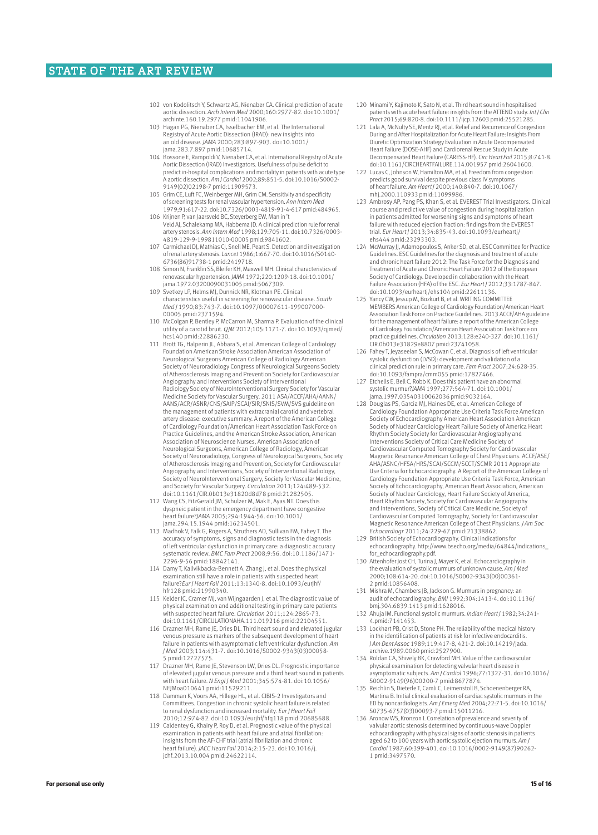- 102 von Kodolitsch Y, Schwartz AG, Nienaber CA. Clinical prediction of acute aortic dissection. *Arch Intern Med* 2000;160:2977-82. doi:10.1001/ archinte.160.19.2977 pmid:11041906.
- 103 Hagan PG, Nienaber CA, Isselbacher EM, et al. The International Registry of Acute Aortic Dissection (IRAD): new insights into an old disease. *JAMA* 2000;283:897-903. doi:10.1001/
- jama.283.7.897 pmid:10685714. 104 Bossone E, Rampoldi V, Nienaber CA, et al. International Registry of Acute Aortic Dissection (IRAD) Investigators. Usefulness of pulse deficit to predict in-hospital complications and mortality in patients with acute type A aortic dissection. *Am J Cardiol* 2002;89:851-5. doi:10.1016/S0002- 9149(02)02198-7 pmid:11909573.
- 105 Grim CE, Luft FC, Weinberger MH, Grim CM. Sensitivity and specificity of screening tests for renal vascular hypertension. *Ann Intern Med* 1979;91:617-22. doi:10.7326/0003-4819-91-4-617 pmid:484965. 106 Krijnen P, van Jaarsveld BC, Steyerberg EW, Man in 't
- Veld AJ, Schalekamp MA, Habbema JD. A clinical prediction rule for renal artery stenosis. *Ann Intern Med* 1998;129:705-11. doi:10.7326/0003- 4819-129-9-199811010-00005 pmid:9841602.
- 107 Carmichael DJ, Mathias CJ, Snell ME, Peart S. Detection and investigation of renal artery stenosis. *Lancet* 1986;1:667-70. doi:10.1016/S0140- 6736(86)91738-1 pmid:2419718. 108 Simon N, Franklin SS, Bleifer KH, Maxwell MH. Clinical characteristics of
- renovascular hypertension. *JAMA* 1972;220:1209-18. doi:10.1001/ jama.1972.03200090031005 pmid:5067309.
- 109 Svetkey LP, Helms MJ, Dunnick NR, Klotman PE. Clinical characteristics useful in screening for renovascular disease. *South Med J* 1990;83:743-7. doi:10.1097/00007611-199007000- 00005 pmid:2371594.
- 110 McColgan P, Bentley P, McCarron M, Sharma P. Evaluation of the clinical utility of a carotid bruit. *QJM* 2012;105:1171-7. doi:10.1093/qjmed/ hcs140 pmid:22886230.
- 111 Brott TG, Halperin JL, Abbara S, et al. American College of Cardiology Foundation American Stroke Association American Association of Neurological Surgeons American College of Radiology American Society of Neuroradiology Congress of Neurological Surgeons Society of Atherosclerosis Imaging and Prevention Society for Cardiovascular Angiography and Interventions Society of Interventional Radiology Society of NeuroInterventional Surgery Society for Vascular Medicine Society for Vascular Surgery. 2011 ASA/ACCF/AHA/AANN/ AANS/ACR/ASNR/CNS/SAIP/SCAI/SIR/SNIS/SVM/SVS guideline on the management of patients with extracranial carotid and vertebral artery disease: executive summary. A report of the American College of Cardiology Foundation/American Heart Association Task Force on Practice Guidelines, and the American Stroke Association, American Association of Neuroscience Nurses, American Association of Neurological Surgeons, American College of Radiology, American Society of Neuroradiology, Congress of Neurological Surgeons, Society of Atherosclerosis Imaging and Prevention, Society for Cardiovascular Angiography and Interventions, Society of Interventional Radiology, Society of NeuroInterventional Surgery, Society for Vascular Medicine, and Society for Vascular Surgery. *Circulation* 2011;124:489-532. doi:10.1161/CIR.0b013e31820d8d78 pmid:21282505.
- 112 Wang CS, FitzGerald JM, Schulzer M, Mak E, Ayas NT. Does this dyspneic patient in the emergency department have congestive heart failure?*JAMA* 2005;294:1944-56. doi:10.1001/ jama.294.15.1944 pmid:16234501.
- 113 Madhok V, Falk G, Rogers A, Struthers AD, Sullivan FM, Fahey T. The accuracy of symptoms, signs and diagnostic tests in the diagnosis of left ventricular dysfunction in primary care: a diagnostic accuracy systematic review. *BMC Fam Pract* 2008;9:56. doi:10.1186/1471- 2296-9-56 pmid:18842141.
- 114 Damy T, Kallvikbacka-Bennett A, Zhang J, et al. Does the physical examination still have a role in patients with suspected hea failure?*Eur J Heart Fail* 2011;13:1340-8. doi:10.1093/eurjhf/ hfr128 pmid:21990340.
- 115 Kelder JC, Cramer MJ, van Wijngaarden J, et al. The diagnostic value of physical examination and additional testing in primary care patients with suspected heart failure. *Circulation* 2011;124:2865-73. doi:10.1161/CIRCULATIONAHA.111.019216 pmid:22104551.
- 116 Drazner MH, Rame JE, Dries DL. Third heart sound and elevated jugular venous pressure as markers of the subsequent development of heart failure in patients with asymptomatic left ventricular dysfunction. *Am J Med* 2003;114:431-7. doi:10.1016/S0002-9343(03)00058-
- 5 pmid:12727575. 117 Drazner MH, Rame JE, Stevenson LW, Dries DL. Prognostic importance of elevated jugular venous pressure and a third heart sound in patients with heart failure. *N Engl J Med* 2001;345:574-81. doi:10.1056/ NEJMoa010641 pmid:11529211.
- 118 Damman K, Voors AA, Hillege HL, et al. CIBIS-2 Investigators and Committees. Congestion in chronic systolic heart failure is related to renal dysfunction and increased mortality. *Eur J Heart Fail* 2010;12:974-82. doi:10.1093/eurjhf/hfq118 pmid:20685688.
- 119 Caldentey G, Khairy P, Roy D, et al. Prognostic value of the physical examination in patients with heart failure and atrial fibrillation: insights from the AF-CHF trial (atrial fibrillation and chronic heart failure). *JACC Heart Fail* 2014;2:15-23. doi:10.1016/j. jchf.2013.10.004 pmid:24622114.
- 120 Minami Y, Kajimoto K, Sato N, et al. Third heart sound in hospitalised patients with acute heart failure: insights from the ATTEND study. *Int J Clin Pract* 2015;69:820-8. doi:10.1111/ijcp.12603 pmid:25521285.
- 121 Lala A, McNulty SE, Mentz RJ, et al. Relief and Recurrence of Congestion During and After Hospitalization for Acute Heart Failure: Insights From Diuretic Optimization Strategy Evaluation in Acute Decompensated Heart Failure (DOSE-AHF) and Cardiorenal Rescue Study in Acute Decompensated Heart Failure (CARESS-HF). *Circ Heart Fail* 2015;8:741-8. doi:10.1161/CIRCHEARTFAILURE.114.001957 pmid:26041600.
- 122 Lucas C, Johnson W, Hamilton MA, et al. Freedom from congestion predicts good survival despite previous class IV symptoms of heart failure. *Am Heart J* 2000;140:840-7. doi:10.1067/ mhj.2000.110933 pmid:11099986.
- 123 Ambrosy AP, Pang PS, Khan S, et al. EVEREST Trial Investigators. Clinical course and predictive value of congestion during hospitalization in patients admitted for worsening signs and symptoms of heart failure with reduced ejection fraction: findings from the EVEREST trial. *Eur Heart J* 2013;34:835-43. doi:10.1093/eurheartj/ ehs444 pmid:23293303.
- 124 McMurray JJ, Adamopoulos S, Anker SD, et al. ESC Committee for Practice Guidelines. ESC Guidelines for the diagnosis and treatment of acute and chronic heart failure 2012: The Task Force for the Diagnosis and Treatment of Acute and Chronic Heart Failure 2012 of the European Society of Cardiology. Developed in collaboration with the Heart Failure Association (HFA) of the ESC. *Eur Heart J* 2012;33:1787-847. doi:10.1093/eurheartj/ehs104 pmid:22611136.
- 125 Yancy CW, Jessup M, Bozkurt B, et al. WRITING COMMITTEE MEMBERS American College of Cardiology Foundation/American Heart Association Task Force on Practice Guidelines. 2013 ACCF/AHA guideline for the management of heart failure: a report of the American College of Cardiology Foundation/American Heart Association Task Force on practice guidelines. *Circulation* 2013;128:e240-327. doi:10.1161/ CIR.0b013e31829e8807 pmid:23741058.
- 126 Fahey T, Jeyaseelan S, McCowan C, et al. Diagnosis of left ventricular systolic dysfunction (LVSD): development and validation of a clinical prediction rule in primary care. *Fam Pract* 2007;24:628-35. doi:10.1093/fampra/cmm055 pmid:17827466.
- 127 Etchells E, Bell C, Robb K. Does this patient have an abnormal systolic murmur?*JAMA* 1997;277:564-71. doi:10.1001/ jama.1997.03540310062036 pmid:9032164.
- 128 Douglas PS, Garcia MJ, Haines DE, et al. American College of Cardiology Foundation Appropriate Use Criteria Task Force American Society of Echocardiography American Heart Association American Society of Nuclear Cardiology Heart Failure Society of America Heart Rhythm Society Society for Cardiovascular Angiography and Interventions Society of Critical Care Medicine Society of Cardiovascular Computed Tomography Society for Cardiovascular Magnetic Resonance American College of Chest Physicians. ACCF/ASE/ AHA/ASNC/HFSA/HRS/SCAI/SCCM/SCCT/SCMR 2011 Appropriate Use Criteria for Echocardiography. A Report of the American College of Cardiology Foundation Appropriate Use Criteria Task Force, American Society of Echocardiography, American Heart Association, American Society of Nuclear Cardiology, Heart Failure Society of America, Heart Rhythm Society, Society for Cardiovascular Angiography and Interventions, Society of Critical Care Medicine, Society of Cardiovascular Computed Tomography, Society for Cardiovascular Magnetic Resonance American College of Chest Physicians. *J Am Soc Echocardiogr* 2011;24:229-67.pmid:21338862.
- 129 British Society of Echocardiography. Clinical indications for echocardiography. http://www.bsecho.org/media/64844/indications\_ for\_echocardiography.pdf.
- 130 Attenhofer Jost CH, Turina J, Mayer K, et al. Echocardiography in the evaluation of systolic murmurs of unknown cause. *Am J Med* 2000;108:614-20. doi:10.1016/S0002-9343(00)00361- 2 pmid:10856408.
- 131 Mishra M, Chambers JB, Jackson G. Murmurs in pregnancy: an audit of echocardiography. *BMJ* 1992;304:1413-4. doi:10.1136/ bmj.304.6839.1413 pmid:1628016.
- 132 Ahuja IM. Functional systolic murmurs. *Indian Heart J* 1982;34:241- 4.pmid:7141453.
- 133 Lockhart PB, Crist D, Stone PH. The reliability of the medical history in the identification of patients at risk for infective endocarditis. *J Am Dent Assoc* 1989;119:417-8, 421-2. doi:10.14219/jada. archive.1989.0060 pmid:2527900.
- 134 Roldan CA, Shively BK, Crawford MH. Value of the cardiovascular physical examination for detecting valvular heart disease in asymptomatic subjects. *Am J Cardiol* 1996;77:1327-31. doi:10.1016/
- S0002-9149(96)00200-7 pmid:8677874. 135 Reichlin S, Dieterle T, Camli C, Leimenstoll B, Schoenenberger RA, Martina B. Initial clinical evaluation of cardiac systolic murmurs in the ED by noncardiologists. *Am J Emerg Med* 2004;22:71-5. doi:10.1016/ S0735-6757(03)00093-7 pmid:15011216.
- 136 Aronow WS, Kronzon I. Correlation of prevalence and severity of valvular aortic stenosis determined by continuous-wave Doppler echocardiography with physical signs of aortic stenosis in patients aged 62 to 100 years with aortic systolic ejection murmurs. *Am J Cardiol* 1987;60:399-401. doi:10.1016/0002-9149(87)90262- 1 pmid:3497570.